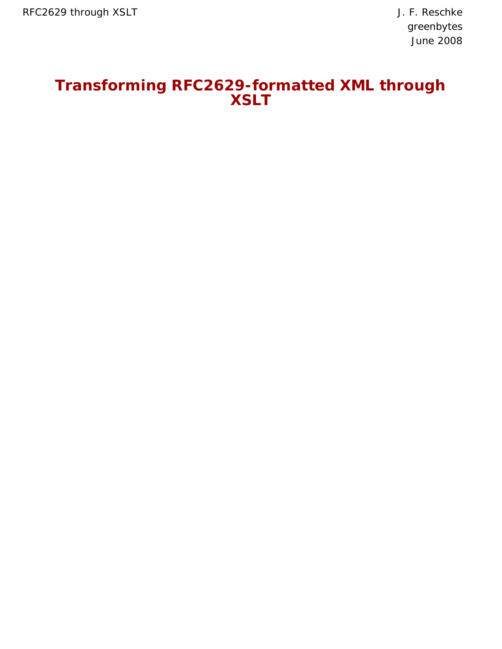# **Transforming RFC2629-formatted XML through XSLT**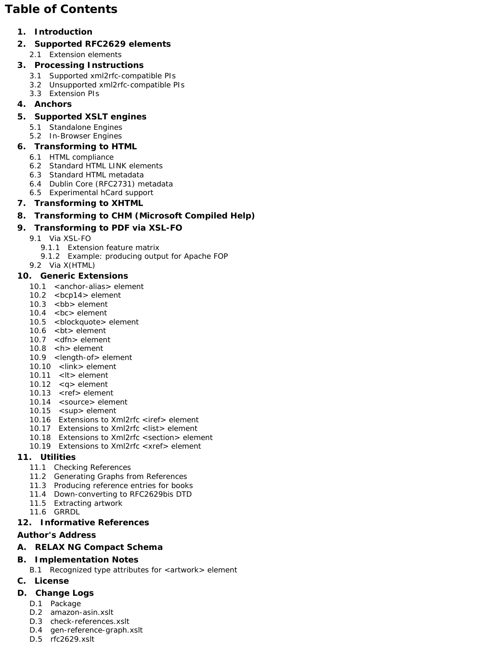# **Table of Contents**

## **1. Introduction**

- **2. Supported RFC2629 elements**
	- 2.1 Extension elements

## **3. Processing Instructions**

- 3.1 Supported xml2rfc-compatible PIs
- 3.2 Unsupported xml2rfc-compatible PIs
- 3.3 Extension PIs

## **4. Anchors**

## **5. Supported XSLT engines**

- 5.1 Standalone Engines
- 5.2 In-Browser Engines

## **6. Transforming to HTML**

- 6.1 HTML compliance
- 6.2 Standard HTML LINK elements
- 6.3 Standard HTML metadata
- 6.4 Dublin Core (RFC2731) metadata
- 6.5 Experimental hCard support

## **7. Transforming to XHTML**

## **8. Transforming to CHM (Microsoft Compiled Help)**

## **9. Transforming to PDF via XSL-FO**

- 9.1 Via XSL-FO
	- 9.1.1 Extension feature matrix
	- 9.1.2 Example: producing output for Apache FOP
- 9.2 Via X(HTML)

## **10. Generic Extensions**

- 10.1 <anchor-alias> element
- 10.2 <bcp14> element
- 10.3 <bb> element
- 10.4 <bc> element
- 10.5 <br />blockquote> element
- 10.6 <bt> element
- 10.7 <dfn> element
- 10.8 <h> element
- 10.9 <length-of> element 10.10 <link> element
- 
- 10.11 <lt> element
- 10.12 <q> element
- 10.13 <ref> element 10.14 <source> element
- 10.15 < sup > element
- 10.16 Extensions to Xml2rfc <iref> element
- 10.17 Extensions to Xml2rfc <list> element
- 10.18 Extensions to Xml2rfc <section> element
- 10.19 Extensions to Xml2rfc <xref> element

## **11. Utilities**

- 11.1 Checking References
- 11.2 Generating Graphs from References
- 11.3 Producing reference entries for books
- 11.4 Down-converting to RFC2629bis DTD
- 11.5 Extracting artwork
- 11.6 GRRDL

## **12. Informative References**

#### **Author's Address**

## **A. RELAX NG Compact Schema**

## **B. Implementation Notes**

B.1 Recognized type attributes for <artwork> element

## **C. License**

- **D. Change Logs**
	- D.1 Package
	- D.2 amazon-asin.xslt
	- D.3 check-references.xslt
	- D.4 gen-reference-graph.xslt
	- D.5 rfc2629.xslt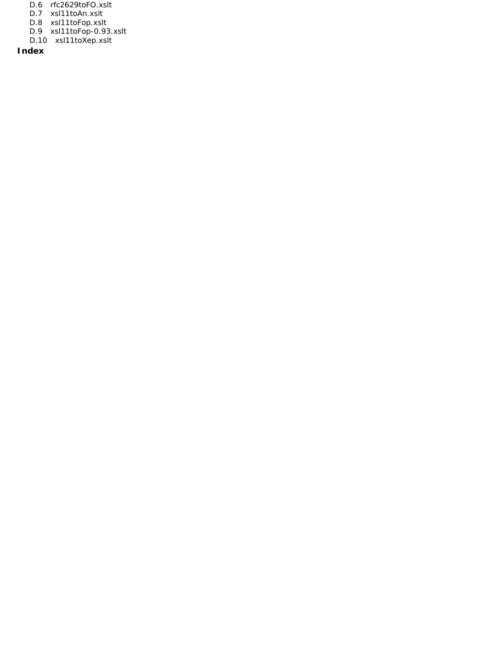- D.6 rfc2629toFO.xslt
- D.7 xsl11toAn.xslt
- D.8 xsl11toFop.xslt
- D.9 xsl11toFop-0.93.xslt
- D.10 xsl11toXep.xslt

**Index**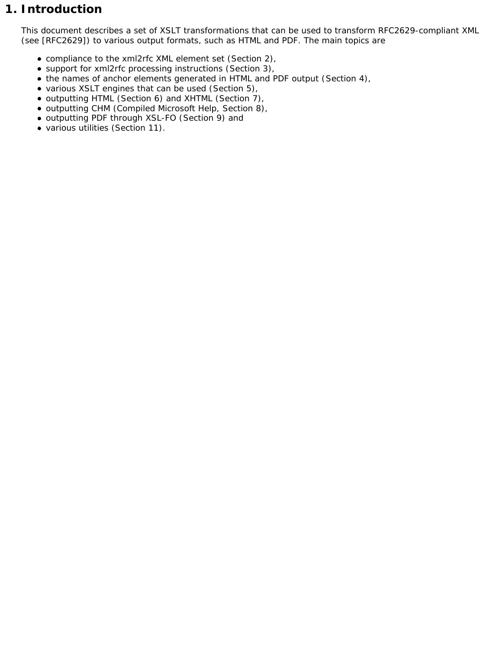# **1. Introduction**

This document describes a set of XSLT transformations that can be used to transform RFC2629-compliant XML (see [RFC2629]) to various output formats, such as HTML and PDF. The main topics are

- compliance to the xml2rfc XML element set (Section 2),
- support for xml2rfc processing instructions (Section 3),
- the names of anchor elements generated in HTML and PDF output (Section 4),
- various XSLT engines that can be used (Section 5),
- outputting HTML (Section 6) and XHTML (Section 7),
- outputting CHM (Compiled Microsoft Help, Section 8),
- outputting PDF through XSL-FO (Section 9) and
- various utilities (Section 11).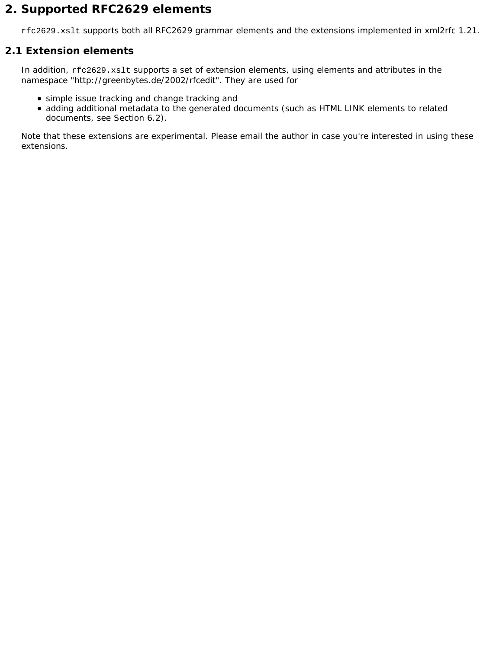# **2. Supported RFC2629 elements**

rfc2629.xslt supports both all RFC2629 grammar elements and the extensions implemented in xml2rfc 1.21.

# **2.1 Extension elements**

In addition, rfc2629.xslt supports a set of extension elements, using elements and attributes in the namespace "http://greenbytes.de/2002/rfcedit". They are used for

- simple issue tracking and change tracking and
- adding additional metadata to the generated documents (such as HTML LINK elements to related documents, see Section 6.2).

Note that these extensions are experimental. Please email the author in case you're interested in using these extensions.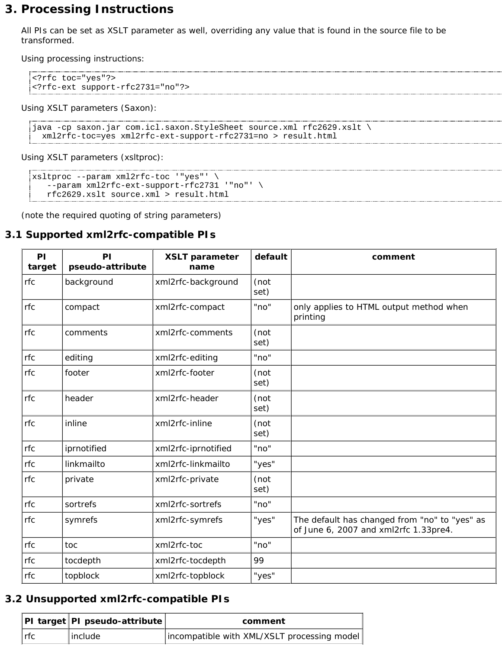# **3. Processing Instructions**

All PIs can be set as XSLT parameter as well, overriding any value that is found in the source file to be transformed.

Using processing instructions:

```
<?rfc toc="yes"?>
<?rfc-ext support-rfc2731="no"?>
```
Using XSLT parameters (Saxon):

```
java -cp saxon.jar com.icl.saxon.StyleSheet source.xml rfc2629.xslt \
  xml2rfc-toc=yes xml2rfc-ext-support-rfc2731=no > result.html
```
Using XSLT parameters (xsltproc):

```
xsltproc --param xml2rfc-toc '"yes"' \
    --param xml2rfc-ext-support-rfc2731 '"no"' \
    rfc2629.xslt source.xml > result.html
```
(note the required quoting of string parameters)

## **3.1 Supported xml2rfc-compatible PIs**

| PI<br>target | PI<br>pseudo-attribute | <b>XSLT parameter</b><br>name | default      | comment                                                                                |
|--------------|------------------------|-------------------------------|--------------|----------------------------------------------------------------------------------------|
| rfc          | background             | xml2rfc-background            | (not<br>set) |                                                                                        |
| rfc          | compact                | xml2rfc-compact               | "no"         | only applies to HTML output method when<br>printing                                    |
| rfc          | comments               | xml2rfc-comments              | (not<br>set) |                                                                                        |
| rfc          | editing                | xml2rfc-editing               | "no"         |                                                                                        |
| rfc          | footer                 | xml2rfc-footer                | (not<br>set) |                                                                                        |
| rfc          | header                 | xml2rfc-header                | (not<br>set) |                                                                                        |
| rfc          | inline                 | xml2rfc-inline                | (not<br>set) |                                                                                        |
| rfc          | iprnotified            | xml2rfc-iprnotified           | "no"         |                                                                                        |
| rfc          | linkmailto             | xml2rfc-linkmailto            | "yes"        |                                                                                        |
| rfc          | private                | xml2rfc-private               | (not<br>set) |                                                                                        |
| rfc          | sortrefs               | xml2rfc-sortrefs              | "no"         |                                                                                        |
| rfc          | symrefs                | xml2rfc-symrefs               | "yes"        | The default has changed from "no" to "yes" as<br>of June 6, 2007 and xml2rfc 1.33pre4. |
| rfc          | toc                    | xml2rfc-toc                   | "no"         |                                                                                        |
| rfc          | tocdepth               | xml2rfc-tocdepth              | 99           |                                                                                        |
| rfc          | topblock               | xml2rfc-topblock              | "yes"        |                                                                                        |

## **3.2 Unsupported xml2rfc-compatible PIs**

|         | PI target PI pseudo-attribute | comment                                     |
|---------|-------------------------------|---------------------------------------------|
| $ $ rfc | include                       | incompatible with XML/XSLT processing model |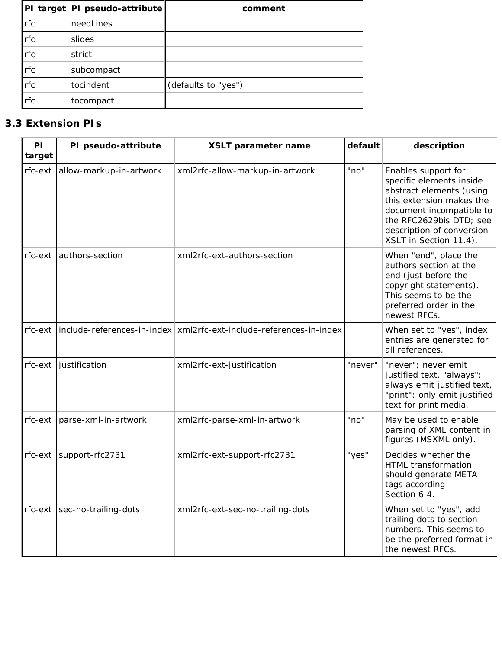|     | PI target   PI pseudo-attribute | comment             |
|-----|---------------------------------|---------------------|
| rfc | needLines                       |                     |
| rfc | slides                          |                     |
| rfc | strict                          |                     |
| rfc | subcompact                      |                     |
| rfc | tocindent                       | (defaults to "yes") |
| rfc | tocompact                       |                     |

# **3.3 Extension PIs**

| PI<br>target | PI pseudo-attribute        | XSLT parameter name                                                   | default | description                                                                                                                                                                                                           |
|--------------|----------------------------|-----------------------------------------------------------------------|---------|-----------------------------------------------------------------------------------------------------------------------------------------------------------------------------------------------------------------------|
| rfc-ext      | allow-markup-in-artwork    | xml2rfc-allow-markup-in-artwork                                       | "no"    | Enables support for<br>specific elements inside<br>abstract elements (using<br>this extension makes the<br>document incompatible to<br>the RFC2629bis DTD; see<br>description of conversion<br>XSLT in Section 11.4). |
| rfc-ext      | authors-section            | xml2rfc-ext-authors-section                                           |         | When "end", place the<br>authors section at the<br>end (just before the<br>copyright statements).<br>This seems to be the<br>preferred order in the<br>newest RFCs.                                                   |
| rfc-ext      |                            | include-references-in-index   xml2rfc-ext-include-references-in-index |         | When set to "yes", index<br>entries are generated for<br>all references.                                                                                                                                              |
|              | $rfc$ -ext   justification | xml2rfc-ext-justification                                             | "never" | "never": never emit<br>justified text, "always":<br>always emit justified text,<br>"print": only emit justified<br>text for print media.                                                                              |
| rfc-ext      | parse-xml-in-artwork       | xml2rfc-parse-xml-in-artwork                                          | "no"    | May be used to enable<br>parsing of XML content in<br>figures (MSXML only).                                                                                                                                           |
| rfc-ext      | support-rfc2731            | xml2rfc-ext-support-rfc2731                                           | "yes"   | Decides whether the<br>HTML transformation<br>should generate META<br>tags according<br>Section 6.4.                                                                                                                  |
| rfc-ext      | sec-no-trailing-dots       | xml2rfc-ext-sec-no-trailing-dots                                      |         | When set to "yes", add<br>trailing dots to section<br>numbers. This seems to<br>be the preferred format in<br>the newest RFCs.                                                                                        |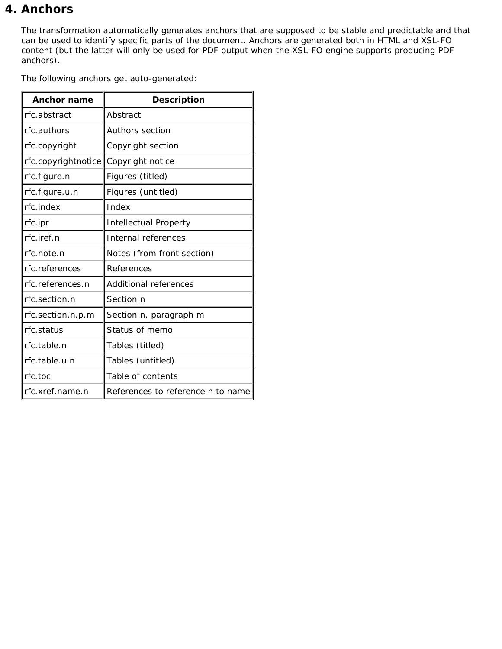# **4. Anchors**

The transformation automatically generates anchors that are supposed to be stable and predictable and that can be used to identify specific parts of the document. Anchors are generated both in HTML and XSL-FO content (but the latter will only be used for PDF output when the XSL-FO engine supports producing PDF anchors).

The following anchors get auto-generated:

| <b>Anchor name</b>      | <b>Description</b>                              |
|-------------------------|-------------------------------------------------|
| rfc.abstract            | Abstract                                        |
| rfc.authors             | <b>Authors section</b>                          |
| rfc.copyright           | Copyright section                               |
| rfc.copyrightnotice     | Copyright notice                                |
| rfc.figure.n            | Figures (titled)                                |
| rfc.figure.u.n          | Figures (untitled)                              |
| rfc.index               | Index                                           |
| rfc.ipr                 | <b>Intellectual Property</b>                    |
| $rfc.$ iref. <i>n</i>   | Internal references                             |
| rfc.note.n              | Notes (from front section)                      |
| rfc.references          | References                                      |
| rfc.references.n        | <b>Additional references</b>                    |
| rfc.section. $n$        | Section n                                       |
| rfc.section.n.p.m       | Section n, paragraph m                          |
| rfc.status              | Status of memo                                  |
| rfc.table.n             | Tables (titled)                                 |
| rfc.table.u.n           | Tables (untitled)                               |
| rfc.toc                 | Table of contents                               |
| rfc.xref. <i>name.n</i> | References to reference <i>n</i> to <i>name</i> |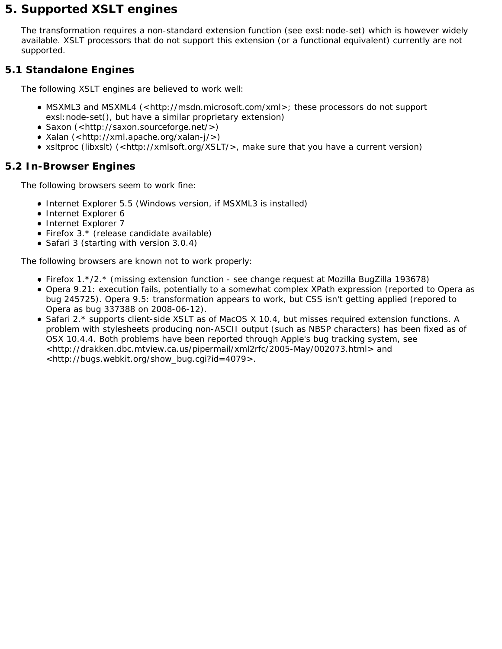# **5. Supported XSLT engines**

The transformation requires a non-standard extension function (see exsl:node-set) which is however widely available. XSLT processors that do not support this extension (or a functional equivalent) currently are not supported.

# **5.1 Standalone Engines**

The following XSLT engines are believed to work well:

- MSXML3 and MSXML4 (<http://msdn.microsoft.com/xml>; these processors do not support exsl:node-set(), but have a similar proprietary extension)
- Saxon (<http://saxon.sourceforge.net/>)
- $\bullet$  Xalan (<http://xml.apache.org/xalan-j/>)
- xsltproc (libxslt) (<http://xmlsoft.org/XSLT/>, make sure that you have a current version)

# **5.2 In-Browser Engines**

The following browsers seem to work fine:

- Internet Explorer 5.5 (Windows version, if MSXML3 is installed)
- Internet Explorer 6
- Internet Explorer 7
- Firefox 3.\* (release candidate available)
- Safari 3 (starting with version 3.0.4)

The following browsers are known not to work properly:

- Firefox 1.\*/2.\* (missing extension function see change request at Mozilla BugZilla 193678)
- Opera 9.21: execution fails, potentially to a somewhat complex XPath expression (reported to Opera as bug 245725). Opera 9.5: transformation appears to work, but CSS isn't getting applied (repored to Opera as bug 337388 on 2008-06-12).
- Safari 2.\* supports client-side XSLT as of MacOS X 10.4, but misses required extension functions. A problem with stylesheets producing non-ASCII output (such as NBSP characters) has been fixed as of OSX 10.4.4. Both problems have been reported through Apple's bug tracking system, see <http://drakken.dbc.mtview.ca.us/pipermail/xml2rfc/2005-May/002073.html> and <http://bugs.webkit.org/show\_bug.cgi?id=4079>.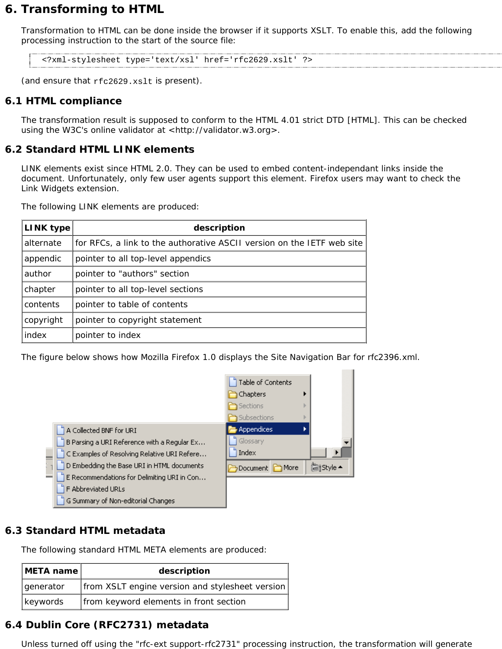# **6. Transforming to HTML**

Transformation to HTML can be done inside the browser if it supports XSLT. To enable this, add the following processing instruction to the start of the source file:

<?xml-stylesheet type='text/xsl' href='rfc2629.xslt' ?>

(and ensure that rfc2629.xslt is present).

## **6.1 HTML compliance**

The transformation result is supposed to conform to the HTML 4.01 strict DTD [HTML]. This can be checked using the W3C's online validator at <http://validator.w3.org>.

## **6.2 Standard HTML LINK elements**

LINK elements exist since HTML 2.0. They can be used to embed content-independant links inside the document. Unfortunately, only few user agents support this element. Firefox users may want to check the Link Widgets extension.

The following LINK elements are produced:

| LINK type | description                                                            |  |  |
|-----------|------------------------------------------------------------------------|--|--|
| alternate | for RFCs, a link to the authorative ASCII version on the IETF web site |  |  |
| appendic  | pointer to all top-level appendics                                     |  |  |
| author    | pointer to "authors" section                                           |  |  |
| chapter   | pointer to all top-level sections                                      |  |  |
| contents  | pointer to table of contents                                           |  |  |
| copyright | pointer to copyright statement                                         |  |  |
| index     | pointer to index                                                       |  |  |

The figure below shows how Mozilla Firefox 1.0 displays the Site Navigation Bar for rfc2396.xml.



# **6.3 Standard HTML metadata**

The following standard HTML META elements are produced:

| description<br>META name |                                                 |
|--------------------------|-------------------------------------------------|
| generator                | from XSLT engine version and stylesheet version |
| keywords                 | from keyword elements in front section          |

# **6.4 Dublin Core (RFC2731) metadata**

Unless turned off using the "rfc-ext support-rfc2731" processing instruction, the transformation will generate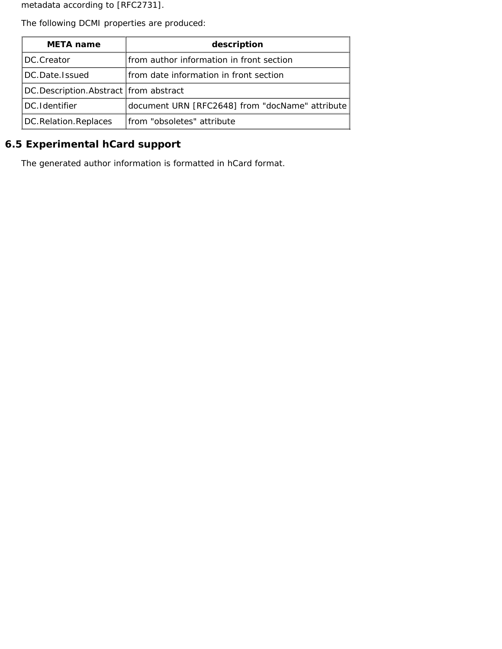metadata according to [RFC2731].

The following DCMI properties are produced:

| <b>META</b> name                        | description                                     |  |  |
|-----------------------------------------|-------------------------------------------------|--|--|
| DC.Creator                              | from author information in front section        |  |  |
| DC.Date.Issued                          | from date information in front section          |  |  |
| DC.Description.Abstract   from abstract |                                                 |  |  |
| DC.Identifier                           | document URN [RFC2648] from "docName" attribute |  |  |
| DC.Relation.Replaces                    | from "obsoletes" attribute                      |  |  |

# **6.5 Experimental hCard support**

The generated author information is formatted in hCard format.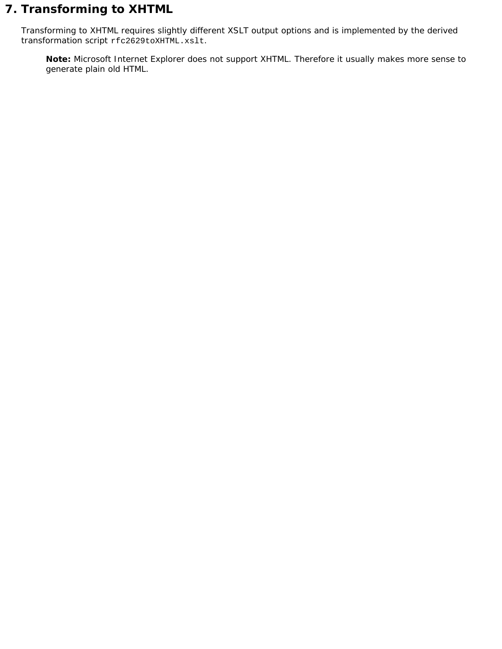# **7. Transforming to XHTML**

Transforming to XHTML requires slightly different XSLT output options and is implemented by the derived transformation script rfc2629toXHTML.xslt.

**Note:** Microsoft Internet Explorer does *not* support XHTML. Therefore it usually makes more sense to generate plain old HTML.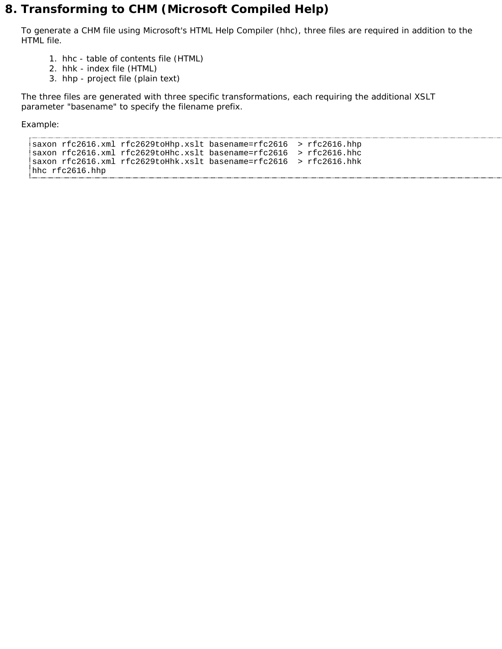# **8. Transforming to CHM (Microsoft Compiled Help)**

To generate a CHM file using Microsoft's HTML Help Compiler (hhc), three files are required in addition to the HTML file.

- 1. hhc table of contents file (HTML)
- 2. hhk index file (HTML)
- 3. hhp project file (plain text)

The three files are generated with three specific transformations, each requiring the additional XSLT parameter "basename" to specify the filename prefix.

Example:

```
saxon rfc2616.xml rfc2629toHhp.xslt basename=rfc2616 > rfc2616.hhp
saxon rfc2616.xml rfc2629toHhc.xslt basename=rfc2616 > rfc2616.hhc
saxon rfc2616.xml rfc2629toHhk.xslt basename=rfc2616 > rfc2616.hhk
hhc rfc2616.hhp
```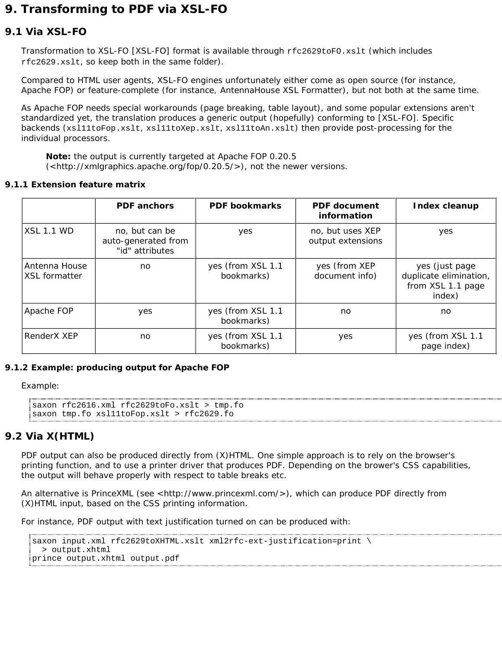# **9. Transforming to PDF via XSL-FO**

# **9.1 Via XSL-FO**

Transformation to XSL-FO [XSL-FO] format is available through rfc2629toFO.xslt (which includes rfc2629.xslt, so keep both in the same folder).

Compared to HTML user agents, XSL-FO engines unfortunately either come as open source (for instance, Apache FOP) or feature-complete (for instance, AntennaHouse XSL Formatter), but not both at the same time.

As Apache FOP needs special workarounds (page breaking, table layout), and some popular extensions aren't standardized yet, the translation produces a generic output (hopefully) conforming to [XSL-FO]. Specific backends (xsl11toFop.xslt, xsl11toXep.xslt, xsl11toAn.xslt) then provide post-processing for the individual processors.

**Note:** the output is currently targeted at Apache FOP 0.20.5  $\left(\langle \text{thtp:}/\text{/xmlgraphics.}apache.org/fop/0.20.5/\rangle\right)$ , not the newer versions.

#### **9.1.1 Extension feature matrix**

|                                       | <b>PDF</b> anchors                                       | <b>PDF</b> bookmarks            | <b>PDF</b> document<br>information    | <b>Index cleanup</b>                                                    |
|---------------------------------------|----------------------------------------------------------|---------------------------------|---------------------------------------|-------------------------------------------------------------------------|
| <b>XSL 1.1 WD</b>                     | no, but can be<br>auto-generated from<br>"id" attributes | yes                             | no, but uses XEP<br>output extensions | yes                                                                     |
| Antenna House<br><b>XSL formatter</b> | no                                                       | yes (from XSL 1.1<br>bookmarks) | yes (from XEP<br>document info)       | yes (just page<br>duplicate elimination,<br>from XSL 1.1 page<br>index) |
| Apache FOP                            | yes                                                      | yes (from XSL 1.1<br>bookmarks) | no.                                   | no                                                                      |
| RenderX XEP                           | no                                                       | yes (from XSL 1.1<br>bookmarks) | yes                                   | yes (from XSL 1.1<br>page index)                                        |

#### **9.1.2 Example: producing output for Apache FOP**

Example:

```
saxon rfc2616.xml rfc2629toFo.xslt > tmp.fo
saxon tmp.fo xsl11toFop.xslt > rfc2629.fo
```
# **9.2 Via X(HTML)**

PDF output can also be produced directly from (X)HTML. One simple approach is to rely on the browser's printing function, and to use a printer driver that produces PDF. Depending on the brower's CSS capabilities, the output will behave properly with respect to table breaks etc.

An alternative is PrinceXML (see <http://www.princexml.com/>), which can produce PDF directly from (X)HTML input, based on the CSS printing information.

For instance, PDF output with text justification turned on can be produced with:

```
saxon input.xml rfc2629toXHTML.xslt xml2rfc-ext-justification=print \
   > output.xhtml
prince output.xhtml output.pdf
```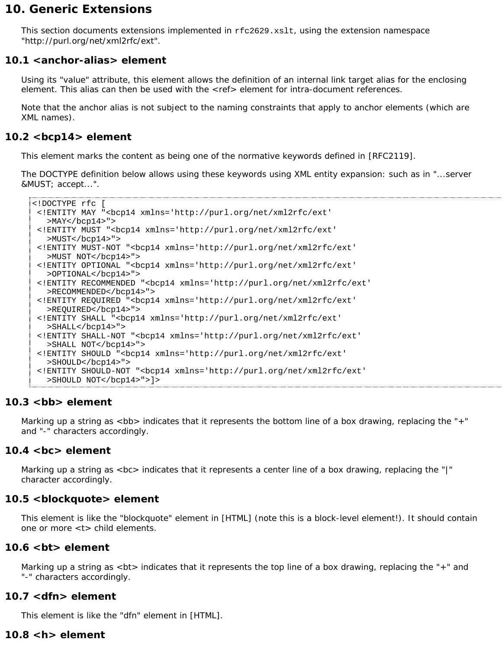# **10. Generic Extensions**

This section documents extensions implemented in rfc2629.xslt, using the extension namespace "http://purl.org/net/xml2rfc/ext".

# **10.1 <anchor-alias> element**

Using its "value" attribute, this element allows the definition of an internal link target alias for the enclosing element. This alias can then be used with the <ref> element for intra-document references.

Note that the anchor alias is not subject to the naming constraints that apply to anchor elements (which are XML names).

# **10.2 <bcp14> element**

This element marks the content as being one of the normative keywords defined in [RFC2119].

The DOCTYPE definition below allows using these keywords using XML entity expansion: such as in "...server &MUST; accept...".

```
<!DOCTYPE rfc [
 <!ENTITY MAY "<bcp14 xmlns='http://purl.org/net/xml2rfc/ext'
  >MAY</math> < /bcp14 > " >
 <!ENTITY MUST "<bcp14 xmlns='http://purl.org/net/xml2rfc/ext'
   >MUST</bcp14>">
 <!ENTITY MUST-NOT "<bcp14 xmlns='http://purl.org/net/xml2rfc/ext'
  >MUST NOT</bcp14>">
 <!ENTITY OPTIONAL "<bcp14 xmlns='http://purl.org/net/xml2rfc/ext'
   >OPTIONAL</bcp14>">
 <!ENTITY RECOMMENDED "<bcp14 xmlns='http://purl.org/net/xml2rfc/ext'
   >RECOMMENDED</bcp14>">
 <!ENTITY REQUIRED "<bcp14 xmlns='http://purl.org/net/xml2rfc/ext'
   >REQUIRED</bcp14>">
 <!ENTITY SHALL "<bcp14 xmlns='http://purl.org/net/xml2rfc/ext'
   >SHALL</bcp14>">
 <!ENTITY SHALL-NOT "<bcp14 xmlns='http://purl.org/net/xml2rfc/ext'
   >SHALL NOT</bcp14>">
 <!ENTITY SHOULD "<bcp14 xmlns='http://purl.org/net/xml2rfc/ext'
   >SHOULD</bcp14>">
 <!ENTITY SHOULD-NOT "<bcp14 xmlns='http://purl.org/net/xml2rfc/ext'
   >SHOULD NOT</bcp14>">]>
```
# **10.3 <bb> element**

Marking up a string as <bb> indicates that it represents the bottom line of a box drawing, replacing the "+" and "-" characters accordingly.

# **10.4 <bc> element**

Marking up a string as  $\langle$ bc> indicates that it represents a center line of a box drawing, replacing the "|" character accordingly.

# **10.5 <blockquote> element**

This element is like the "blockquote" element in [HTML] (note this is a block-level element!). It should contain one or more <t> child elements.

## **10.6 <bt> element**

Marking up a string as <bt> indicates that it represents the top line of a box drawing, replacing the "+" and "-" characters accordingly.

# **10.7 <dfn> element**

This element is like the "dfn" element in [HTML].

# **10.8 <h> element**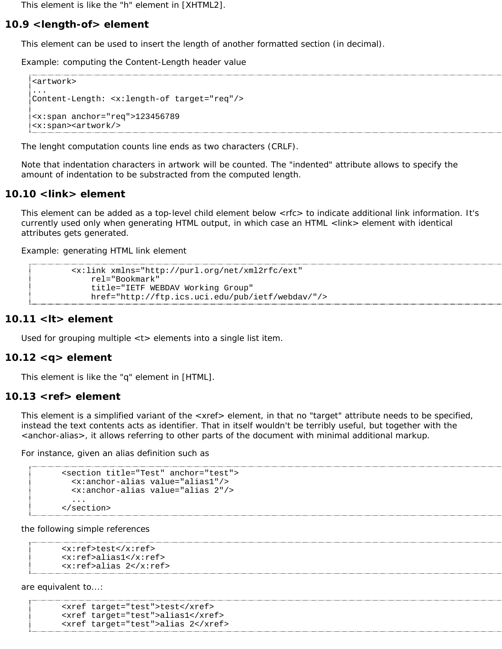This element is like the "h" element in [XHTML2].

### **10.9 <length-of> element**

This element can be used to insert the length of another formatted section (in decimal).

Example: computing the Content-Length header value

```
<artwork>
...
Content-Length: <x:length-of target="req"/>
<x:span anchor="req">123456789
<x:span><artwork/>
```
The lenght computation counts line ends as two characters (CRLF).

Note that indentation characters in artwork *will* be counted. The "indented" attribute allows to specify the amount of indentation to be substracted from the computed length.

## **10.10 <link> element**

This element can be added as a top-level child element below <rfc> to indicate additional link information. It's currently used only when generating HTML output, in which case an HTML <link> element with identical attributes gets generated.

Example: generating HTML link element

```
 <x:link xmlns="http://purl.org/net/xml2rfc/ext"
    rel="Bookmark"
     title="IETF WEBDAV Working Group"
     href="http://ftp.ics.uci.edu/pub/ietf/webdav/"/>
```
#### **10.11 <lt> element**

Used for grouping multiple <t> elements into a single list item.

#### **10.12 <q> element**

This element is like the "q" element in [HTML].

#### **10.13 <ref> element**

This element is a simplified variant of the <xref> element, in that no "target" attribute needs to be specified, instead the text contents acts as identifier. That in itself wouldn't be terribly useful, but together with the <anchor-alias>, it allows referring to other parts of the document with minimal additional markup.

For instance, given an alias definition such as

```
 <section title="Test" anchor="test">
   <x:anchor-alias value="alias1"/>
   <x:anchor-alias value="alias 2"/>
   ...
 </section>
```
the following simple references

```
 <x:ref>test</x:ref>
 <x:ref>alias1</x:ref>
 <x:ref>alias 2</x:ref>
```
are equivalent to...:

```
 <xref target="test">test</xref>
 <xref target="test">alias1</xref>
 <xref target="test">alias 2</xref>
```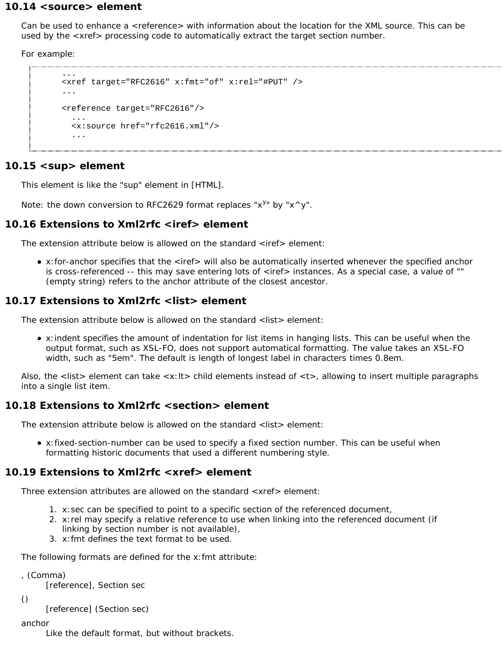### **10.14 <source> element**

Can be used to enhance a <reference> with information about the location for the XML source. This can be used by the <xref> processing code to automatically extract the target section number.

For example:

```
 ...
 <xref target="RFC2616" x:fmt="of" x:rel="#PUT" />
 ...
 <reference target="RFC2616"/>
   ...
   <x:source href="rfc2616.xml"/>
   ...
```
## 10.15 <sup> element

This element is like the "sup" element in [HTML].

Note: the down conversion to RFC2629 format replaces " $x^{y_n}$  by " $x^{\wedge}y$ ".

## **10.16 Extensions to Xml2rfc <iref> element**

The extension attribute below is allowed on the standard <iref> element:

x:for-anchor specifies that the <iref> will also be automatically inserted whenever the specified anchor is cross-referenced -- this may save entering lots of <iref> instances. As a special case, a value of "" (empty string) refers to the anchor attribute of the closest ancestor.

## **10.17 Extensions to Xml2rfc <list> element**

The extension attribute below is allowed on the standard <list> element:

x:indent specifies the amount of indentation for list items in hanging lists. This can be useful when the output format, such as XSL-FO, does not support automatical formatting. The value takes an XSL-FO width, such as "5em". The default is *length of longest label in characters* times *0.8em*.

Also, the <list> element can take <x:lt> child elements instead of <t>, allowing to insert multiple paragraphs into a single list item.

## **10.18 Extensions to Xml2rfc <section> element**

The extension attribute below is allowed on the standard <list> element:

x:fixed-section-number can be used to specify a fixed section number. This can be useful when formatting historic documents that used a different numbering style.

## **10.19 Extensions to Xml2rfc <xref> element**

Three extension attributes are allowed on the standard <xref> element:

- 1. x:sec can be specified to point to a specific section of the referenced document,
- 2. x:rel may specify a relative reference to use when linking into the referenced document (if linking by section number is not available),
- 3. x:fmt defines the text format to be used.

The following formats are defined for the x:fmt attribute:

```
, (Comma)
```
[*reference*], Section *sec*

```
()
```
[*reference*] (Section *sec*)

#### anchor

Like the default format, but without brackets.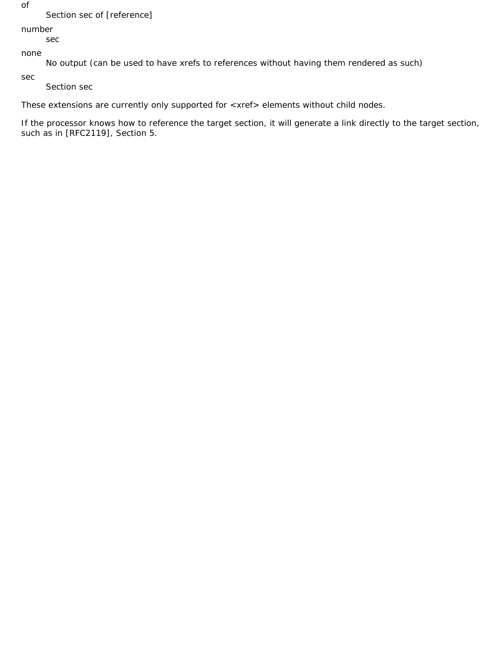of

### Section *sec* of [*reference*]

number

*sec*

none

No output (can be used to have xrefs to references without having them rendered as such)

sec

Section *sec*

These extensions are currently only supported for <xref> elements without child nodes.

If the processor knows how to reference the target section, it will generate a link directly to the target section, such as in [RFC2119], Section 5.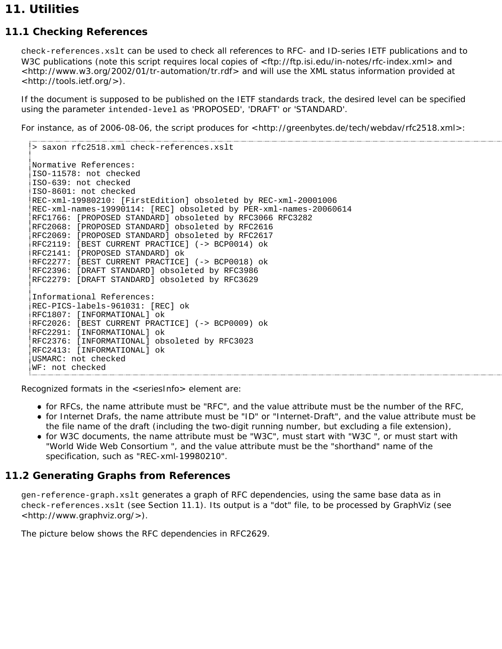# **11. Utilities**

# **11.1 Checking References**

check-references.xslt can be used to check all references to RFC- and ID-series IETF publications and to W3C publications (note this script requires local copies of <ftp://ftp.isi.edu/in-notes/rfc-index.xml> and <http://www.w3.org/2002/01/tr-automation/tr.rdf> and will use the XML status information provided at <http://tools.ietf.org/>).

If the document is supposed to be published on the IETF standards track, the desired level can be specified using the parameter intended-level as 'PROPOSED', 'DRAFT' or 'STANDARD'.

For instance, as of 2006-08-06, the script produces for <http://greenbytes.de/tech/webdav/rfc2518.xml>:

```
> saxon rfc2518.xml check-references.xslt
Normative References:
ISO-11578: not checked
ISO-639: not checked
ISO-8601: not checked
REC-xml-19980210: [FirstEdition] obsoleted by REC-xml-20001006
REC-xml-names-19990114: [REC] obsoleted by PER-xml-names-20060614
RFC1766: [PROPOSED STANDARD] obsoleted by RFC3066 RFC3282
RFC2068: [PROPOSED STANDARD] obsoleted by RFC2616
RFC2069: [PROPOSED STANDARD] obsoleted by RFC2617
RFC2119: [BEST CURRENT PRACTICE] (-> BCP0014) ok
RFC2141: [PROPOSED STANDARD] ok
RFC2277: [BEST CURRENT PRACTICE] (-> BCP0018) ok
RFC2396: [DRAFT STANDARD] obsoleted by RFC3986
RFC2279: [DRAFT STANDARD] obsoleted by RFC3629
Informational References:
REC-PICS-labels-961031: [REC] ok
RFC1807: [INFORMATIONAL] ok
RFC2026: [BEST CURRENT PRACTICE] (-> BCP0009) ok
RFC2291: [INFORMATIONAL] ok
RFC2376: [INFORMATIONAL] obsoleted by RFC3023
RFC2413: [INFORMATIONAL] ok
USMARC: not checked
WF: not checked
```
Recognized formats in the <seriesInfo> element are:

- for RFCs, the name attribute must be "RFC", and the value attribute must be the number of the RFC,
- for Internet Drafs, the name attribute must be "ID" or "Internet-Draft", and the value attribute must be the file name of the draft (including the two-digit running number, but excluding a file extension),
- for W3C documents, the name attribute must be "W3C", must start with "W3C ", or must start with "World Wide Web Consortium ", and the value attribute must be the "shorthand" name of the specification, such as "REC-xml-19980210".

# **11.2 Generating Graphs from References**

gen-reference-graph.xslt generates a graph of RFC dependencies, using the same base data as in check-references.xslt (see Section 11.1). Its output is a "dot" file, to be processed by GraphViz (see <http://www.graphviz.org/>).

The picture below shows the RFC dependencies in RFC2629.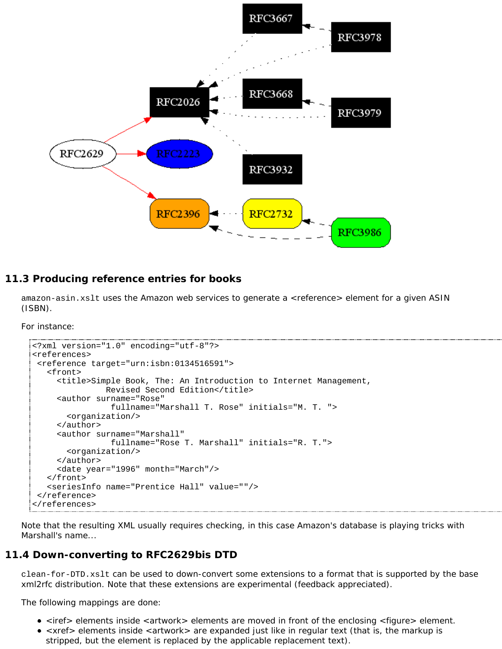

# **11.3 Producing reference entries for books**

amazon-asin.xslt uses the Amazon web services to generate a <reference> element for a given ASIN (ISBN).

For instance:

```
<?xml version="1.0" encoding="utf-8"?>
<references>
 <reference target="urn:isbn:0134516591">
    <front>
      <title>Simple Book, The: An Introduction to Internet Management,
               Revised Second Edition</title>
      <author surname="Rose"
                 fullname="Marshall T. Rose" initials="M. T. ">
        <organization/>
      </author>
      <author surname="Marshall"
                 fullname="Rose T. Marshall" initials="R. T.">
        <organization/>
      </author>
      <date year="1996" month="March"/>
    </front>
    <seriesInfo name="Prentice Hall" value=""/>
 </reference>
</references>
```
Note that the resulting XML usually requires checking, in this case Amazon's database is playing tricks with Marshall's name...

## **11.4 Down-converting to RFC2629bis DTD**

clean-for-DTD.xslt can be used to down-convert some extensions to a format that is supported by the base xml2rfc distribution. Note that these extensions are experimental (feedback appreciated).

The following mappings are done:

- <iref> elements inside <artwork> elements are moved in front of the enclosing <figure> element.
- < xref > elements inside < artwork > are expanded just like in regular text (that is, the markup is stripped, but the element is replaced by the applicable replacement text).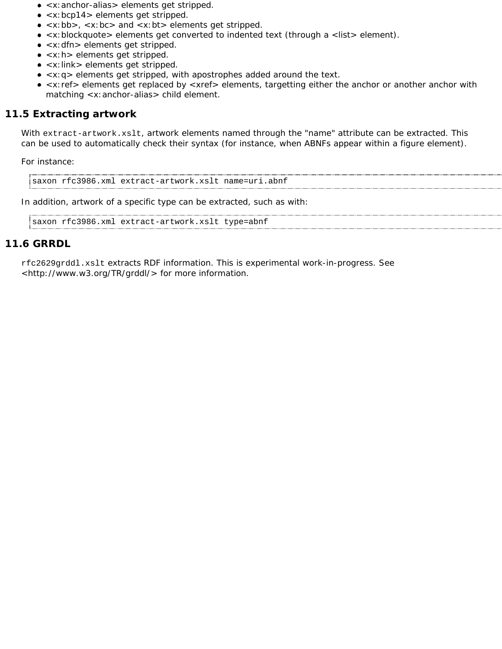- <x:anchor-alias> elements get stripped.
- <x:bcp14> elements get stripped.
- $\bullet$  <x:bb>, <x:bc> and <x:bt> elements get stripped.
- <x:blockquote> elements get converted to indented text (through a <list> element).
- <x: dfn> elements get stripped.
- <x:h> elements get stripped.
- <x: link> elements get stripped.
- <x:q> elements get stripped, with apostrophes added around the text.
- <x:ref> elements get replaced by <xref> elements, targetting either the anchor or another anchor with matching <x:anchor-alias> child element.

# **11.5 Extracting artwork**

With extract-artwork.xslt, artwork elements named through the "name" attribute can be extracted. This can be used to automatically check their syntax (for instance, when ABNFs appear within a figure element).

For instance:

saxon rfc3986.xml extract-artwork.xslt name=uri.abnf

In addition, artwork of a specific type can be extracted, such as with:

```
saxon rfc3986.xml extract-artwork.xslt type=abnf
```
### **11.6 GRRDL**

rfc2629grddl.xslt extracts RDF information. This is experimental work-in-progress. See <http://www.w3.org/TR/grddl/> for more information.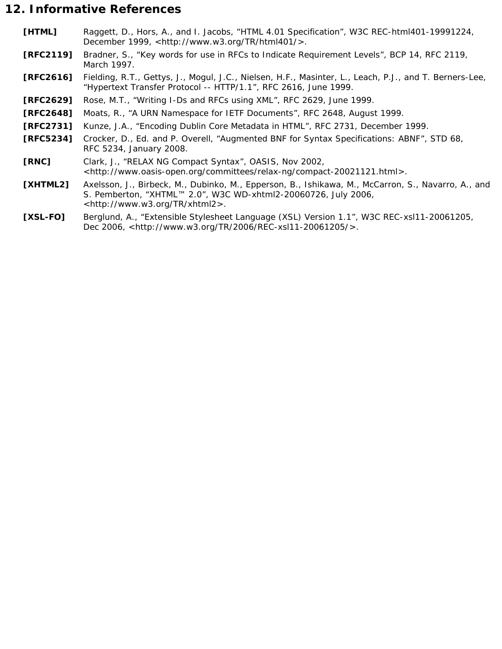# **12. Informative References**

- **[HTML]** Raggett, D., Hors, A., and I. Jacobs, "HTML 4.01 Specification", W3C REC-html401-19991224, December 1999, <http://www.w3.org/TR/html401/>.
- **[RFC2119]** Bradner, S., "Key words for use in RFCs to Indicate Requirement Levels", BCP 14, RFC 2119, March 1997.
- **[RFC2616]** Fielding, R.T., Gettys, J., Mogul, J.C., Nielsen, H.F., Masinter, L., Leach, P.J., and T. Berners-Lee, "Hypertext Transfer Protocol -- HTTP/1.1", RFC 2616, June 1999.
- **[RFC2629]** Rose, M.T., "Writing I-Ds and RFCs using XML", RFC 2629, June 1999.
- **[RFC2648]** Moats, R., "A URN Namespace for IETF Documents", RFC 2648, August 1999.
- **[RFC2731]** Kunze, J.A., "Encoding Dublin Core Metadata in HTML", RFC 2731, December 1999.
- **[RFC5234]** Crocker, D., Ed. and P. Overell, "Augmented BNF for Syntax Specifications: ABNF", STD 68, RFC 5234, January 2008.
- **[RNC]** Clark, J., "RELAX NG Compact Syntax", OASIS, Nov 2002, <http://www.oasis-open.org/committees/relax-ng/compact-20021121.html>.
- **[XHTML2]** Axelsson, J., Birbeck, M., Dubinko, M., Epperson, B., Ishikawa, M., McCarron, S., Navarro, A., and S. Pemberton, "XHTML™ 2.0", W3C WD-xhtml2-20060726, July 2006, <http://www.w3.org/TR/xhtml2>.
- **[XSL-FO]** Berglund, A., "Extensible Stylesheet Language (XSL) Version 1.1", W3C REC-xsl11-20061205, Dec 2006, <http://www.w3.org/TR/2006/REC-xsl11-20061205/>.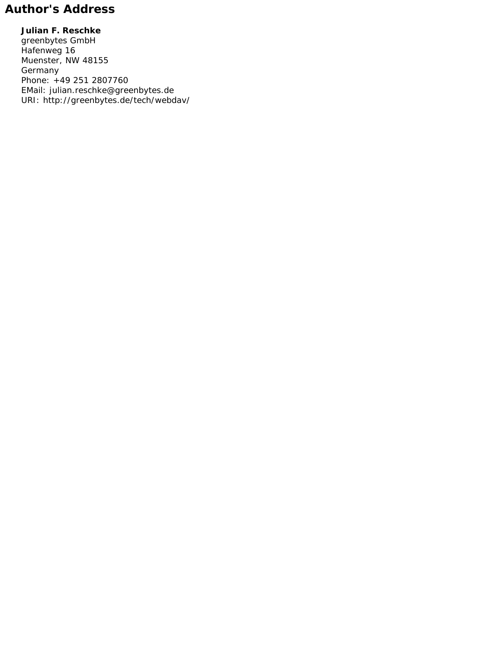# **Author's Address**

**Julian F. Reschke** greenbytes GmbH Hafenweg 16 Muenster, NW 48155 Germany Phone: +49 251 2807760 EMail: julian.reschke@greenbytes.de URI: http://greenbytes.de/tech/webdav/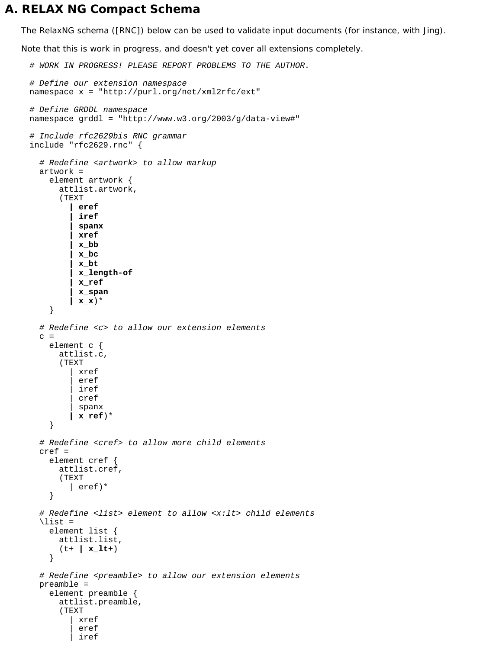# **A. RELAX NG Compact Schema**

The RelaxNG schema ([RNC]) below can be used to validate input documents (for instance, with Jing).

*Note that this is work in progress, and doesn't yet cover all extensions completely.*

```
# WORK IN PROGRESS! PLEASE REPORT PROBLEMS TO THE AUTHOR.
# Define our extension namespace
namespace x = "http://purl.org/net/xml2rfc/ext"
# Define GRDDL namespace
namespace grddl = "http://www.w3.org/2003/g/data-view#"
# Include rfc2629bis RNC grammar
include "rfc2629.rnc" {
   # Redefine <artwork> to allow markup
   artwork =
     element artwork {
       attlist.artwork,
        (TEXT
          | eref
           | iref
          | spanx
          | xref
          | x_bb
          | x_bc
          | x_bt
          | x_length-of
          | x_ref
          | x_span
          | x_x)* 
     }
   # Redefine <c> to allow our extension elements
  \mathcal{C} element c {
       attlist.c,
        (TEXT
            | xref
           eref
            | iref 
            | cref 
            | spanx 
          | x_ref)*
      }
   # Redefine <cref> to allow more child elements
   cref =
     element cref {
       attlist.cref,
        (TEXT
          | eref)*
     }
   # Redefine <list> element to allow <x:lt> child elements
  \langlelist =
     element list {
       attlist.list,
        (t+ | x_lt+)
      } 
   # Redefine <preamble> to allow our extension elements
   preamble =
     element preamble {
       attlist.preamble,
        (TEXT
            | xref
           eref
            | iref
```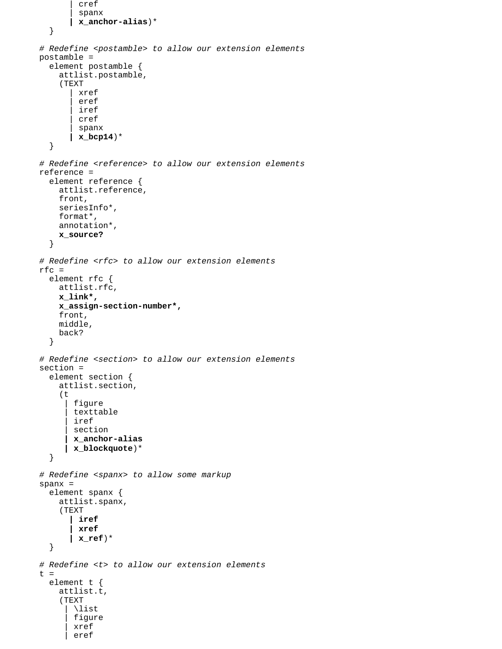```
 | cref
          | spanx
        | x_anchor-alias)*
   }
 # Redefine <postamble> to allow our extension elements
 postamble =
   element postamble {
     attlist.postamble,
     (TEXT
          | xref
         eref
          | iref
          | cref
         | spanx
        | x_bcp14)*
   }
 # Redefine <reference> to allow our extension elements
 reference =
   element reference {
     attlist.reference,
     front,
     seriesInfo*,
     format*,
     annotation*,
     x_source?
   }
 # Redefine <rfc> to allow our extension elements
 rfc =
   element rfc {
     attlist.rfc,
     x_link*,
     x_assign-section-number*,
     front,
     middle,
     back?
   }
 # Redefine <section> to allow our extension elements
 section =
   element section {
     attlist.section,
     (t
        figure
       texttable
        | iref
       section
       | x_anchor-alias
       | x_blockquote)*
   }
 # Redefine <spanx> to allow some markup
 spanx =
   element spanx {
     attlist.spanx,
     (TEXT
        | iref
        | xref
        | x_ref)*
   }
 # Redefine <t> to allow our extension elements
t = element t {
     attlist.t,
      (TEXT
        | \list
       figure
        | xref
        | eref
```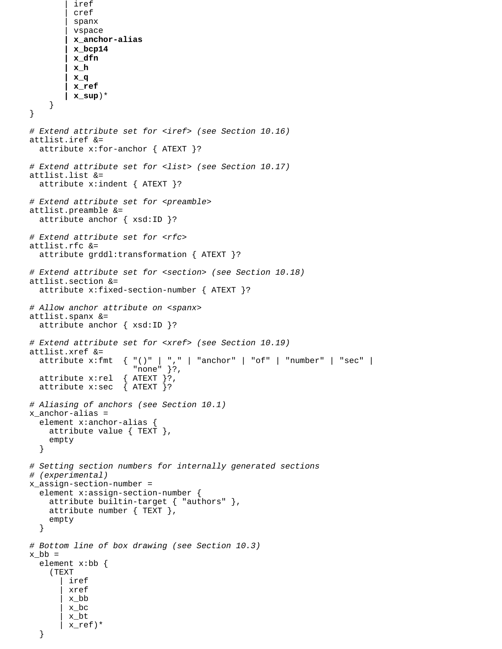```
 | cref
          | spanx
          | vspace
          | x_anchor-alias
          | x_bcp14
          | x_dfn
         | x_h
         | x_q
         | x_ref
         | x_sup)*
     }
}
# Extend attribute set for <iref> (see Section 10.16)
attlist.iref &=
   attribute x:for-anchor { ATEXT }?
# Extend attribute set for <list> (see Section 10.17)
attlist.list &=
   attribute x:indent { ATEXT }?
# Extend attribute set for <preamble>
attlist.preamble &=
   attribute anchor { xsd:ID }?
# Extend attribute set for <rfc>
attlist.rfc &=
   attribute grddl:transformation { ATEXT }?
# Extend attribute set for <section> (see Section 10.18)
attlist.section &=
   attribute x:fixed-section-number { ATEXT }?
# Allow anchor attribute on <spanx>
attlist.spanx &=
   attribute anchor { xsd:ID }?
# Extend attribute set for <xref> (see Section 10.19)
attlist.xref &=
  attribute x: fmt \{ "()" | ", " | "anchor" | "of" | "number" | "sec" |"none" }?,<br>{ ATEXT }?,
  attribute x:rel { ATEXT }?<br>attribute x:sec { ATEXT }?
  attribute x: sec
# Aliasing of anchors (see Section 10.1)
x_anchor-alias =
   element x:anchor-alias {
     attribute value { TEXT },
     empty
   }
# Setting section numbers for internally generated sections
# (experimental)
x_assign-section-number =
   element x:assign-section-number {
     attribute builtin-target { "authors" },
     attribute number { TEXT },
     empty
   }
# Bottom line of box drawing (see Section 10.3)
x_b =
   element x:bb {
     (TEXT
        iref
         | xref
         | x_bb
         | x_bc
         | x_bt
         | x_ref)*
```

```
 }
```
iref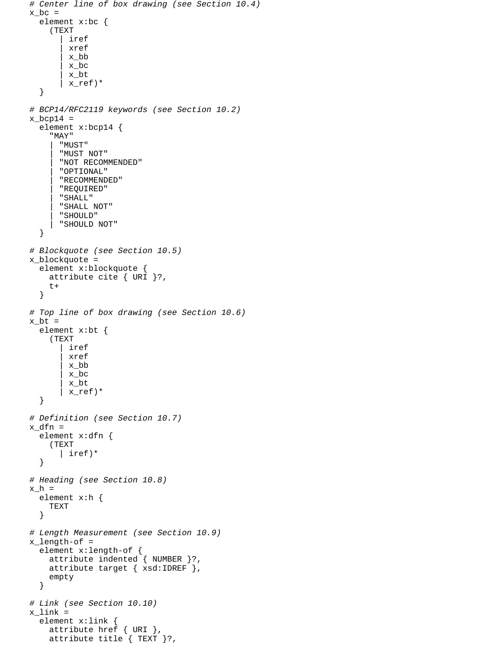```
# Center line of box drawing (see Section 10.4)
x bc =
   element x:bc {
     (TEXT
          | iref
          | xref
          | x_bb
         | x_bc
         | x_bt
         | x_ref)* 
   }
# BCP14/RFC2119 keywords (see Section 10.2)
x bcp14 =
   element x:bcp14 {
     "MAY"
       | "MUST"
       | "MUST NOT"
       | "NOT RECOMMENDED"
       | "OPTIONAL"
       | "RECOMMENDED"
        | "REQUIRED"
       | "SHALL"
       | "SHALL NOT"
       | "SHOULD"
       | "SHOULD NOT"
   }
# Blockquote (see Section 10.5)
x_blockquote =
   element x:blockquote {
     attribute cite { URI }?,
     t+
   }
# Top line of box drawing (see Section 10.6)
x bt =
   element x:bt {
     (TEXT
          | iref
          | xref
         | x_bb
         | x_bc
         | x_bt
        | x_ref)* 
   }
# Definition (see Section 10.7)
x_dfn =
   element x:dfn {
      (TEXT
       | iref)*
   }
# Heading (see Section 10.8)
x_h = element x:h {
     TEXT
   }
# Length Measurement (see Section 10.9)
x_length-of =
   element x:length-of {
     attribute indented { NUMBER }?,
     attribute target { xsd:IDREF },
     empty
   }
# Link (see Section 10.10)
x link =
   element x:link {
     attribute href { URI },
     attribute title { TEXT }?,
```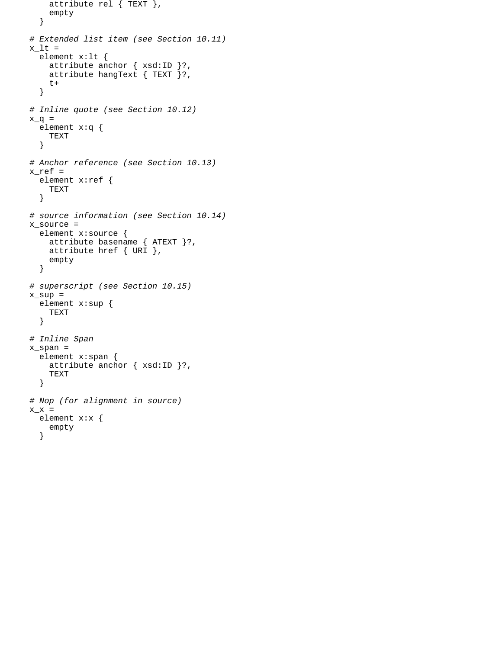```
 attribute rel { TEXT },
     empty
   }
# Extended list item (see Section 10.11)
x_l t = element x:lt {
    attribute anchor { xsd:ID }?,
    attribute hangText \{ TEXT \}?,
    t+
   }
# Inline quote (see Section 10.12)
x_q = element x:q {
    TEXT
   }
# Anchor reference (see Section 10.13) 
x_ref =
   element x:ref {
    TEXT
   }
# source information (see Section 10.14) 
x_source =
   element x:source {
    attribute basename { ATEXT }?,
     attribute href { URI },
     empty
   }
# superscript (see Section 10.15)
x_sup =
   element x:sup {
    TEXT
   }
# Inline Span 
x_span =
   element x:span {
    attribute anchor { xsd:ID }?,
     TEXT
   }
# Nop (for alignment in source)
x_x = element x:x {
     empty
   }
```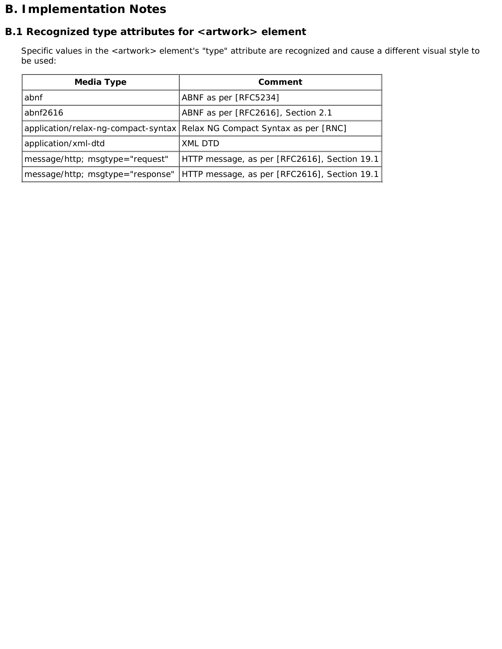# **B. Implementation Notes**

# **B.1 Recognized type attributes for <artwork> element**

Specific values in the <artwork> element's "type" attribute are recognized and cause a different visual style to be used:

| <b>Media Type</b>                | Comment                                                                  |  |
|----------------------------------|--------------------------------------------------------------------------|--|
| abnf                             | ABNF as per [RFC5234]                                                    |  |
| abnf $2616$                      | ABNF as per [RFC2616], Section 2.1                                       |  |
|                                  | application/relax-ng-compact-syntax Relax NG Compact Syntax as per [RNC] |  |
| application/xml-dtd              | XML DTD                                                                  |  |
| message/http; msgtype="request"  | HTTP message, as per [RFC2616], Section 19.1                             |  |
| message/http; msgtype="response" | HTTP message, as per [RFC2616], Section 19.1                             |  |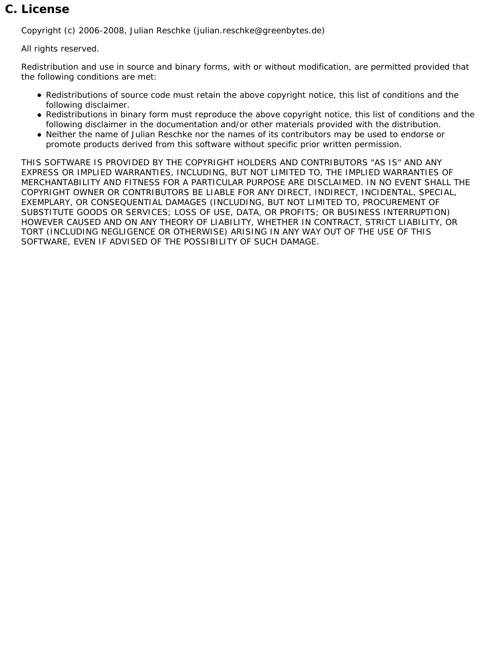# **C. License**

Copyright (c) 2006-2008, Julian Reschke (julian.reschke@greenbytes.de)

All rights reserved.

Redistribution and use in source and binary forms, with or without modification, are permitted provided that the following conditions are met:

- Redistributions of source code must retain the above copyright notice, this list of conditions and the following disclaimer.
- Redistributions in binary form must reproduce the above copyright notice, this list of conditions and the following disclaimer in the documentation and/or other materials provided with the distribution.
- Neither the name of Julian Reschke nor the names of its contributors may be used to endorse or promote products derived from this software without specific prior written permission.

THIS SOFTWARE IS PROVIDED BY THE COPYRIGHT HOLDERS AND CONTRIBUTORS "AS IS" AND ANY EXPRESS OR IMPLIED WARRANTIES, INCLUDING, BUT NOT LIMITED TO, THE IMPLIED WARRANTIES OF MERCHANTABILITY AND FITNESS FOR A PARTICULAR PURPOSE ARE DISCLAIMED. IN NO EVENT SHALL THE COPYRIGHT OWNER OR CONTRIBUTORS BE LIABLE FOR ANY DIRECT, INDIRECT, INCIDENTAL, SPECIAL, EXEMPLARY, OR CONSEQUENTIAL DAMAGES (INCLUDING, BUT NOT LIMITED TO, PROCUREMENT OF SUBSTITUTE GOODS OR SERVICES; LOSS OF USE, DATA, OR PROFITS; OR BUSINESS INTERRUPTION) HOWEVER CAUSED AND ON ANY THEORY OF LIABILITY, WHETHER IN CONTRACT, STRICT LIABILITY, OR TORT (INCLUDING NEGLIGENCE OR OTHERWISE) ARISING IN ANY WAY OUT OF THE USE OF THIS SOFTWARE, EVEN IF ADVISED OF THE POSSIBILITY OF SUCH DAMAGE.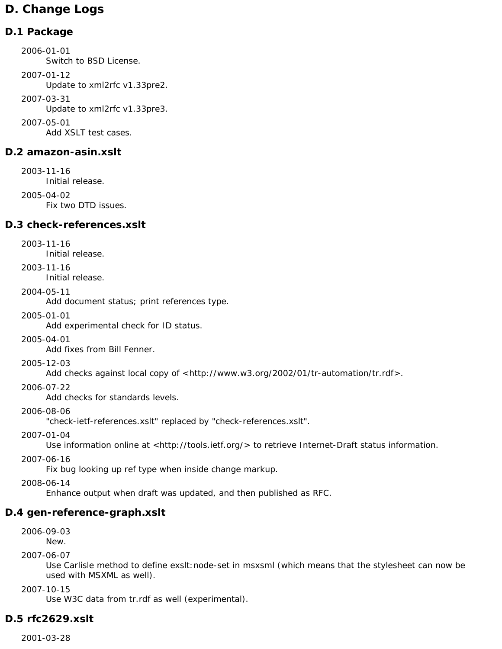# **D. Change Logs**

# **D.1 Package**

2006-01-01 Switch to BSD License. 2007-01-12 Update to xml2rfc v1.33pre2. 2007-03-31 Update to xml2rfc v1.33pre3. 2007-05-01 Add XSLT test cases.

# **D.2 amazon-asin.xslt**

2003-11-16 Initial release. 2005-04-02 Fix two DTD issues.

# **D.3 check-references.xslt**

2003-11-16

Initial release.

2003-11-16

Initial release.

2004-05-11

Add document status; print references type.

2005-01-01

Add experimental check for ID status.

2005-04-01

Add fixes from Bill Fenner.

2005-12-03

Add checks against local copy of <http://www.w3.org/2002/01/tr-automation/tr.rdf>.

2006-07-22

Add checks for standards levels.

2006-08-06

"check-ietf-references.xslt" replaced by "check-references.xslt".

2007-01-04

Use information online at <http://tools.ietf.org/> to retrieve Internet-Draft status information.

2007-06-16

Fix bug looking up ref type when inside change markup.

2008-06-14

Enhance output when draft was updated, and then published as RFC.

# **D.4 gen-reference-graph.xslt**

2006-09-03 New.

2007-06-07

Use Carlisle method to define exslt:node-set in msxsml (which means that the stylesheet can now be used with MSXML as well).

2007-10-15

Use W3C data from tr.rdf as well (experimental).

# **D.5 rfc2629.xslt**

2001-03-28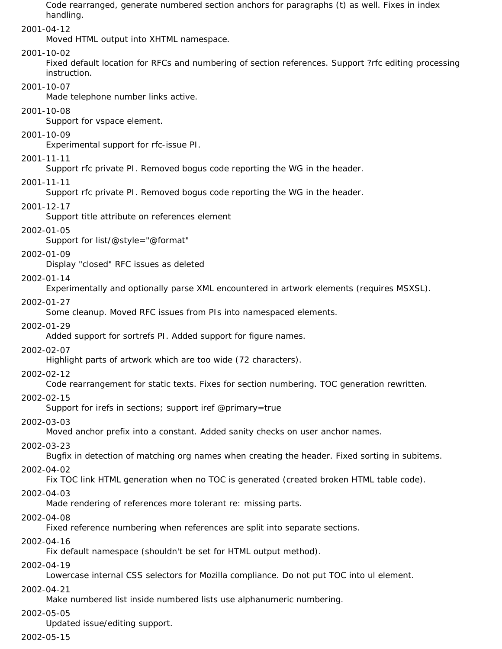Code rearranged, generate numbered section anchors for paragraphs (t) as well. Fixes in index handling.

2001-04-12

Moved HTML output into XHTML namespace.

#### 2001-10-02

Fixed default location for RFCs and numbering of section references. Support ?rfc editing processing instruction.

#### 2001-10-07

Made telephone number links active.

2001-10-08

Support for vspace element.

2001-10-09

Experimental support for rfc-issue PI.

#### 2001-11-11

Support rfc private PI. Removed bogus code reporting the WG in the header.

### 2001-11-11

Support rfc private PI. Removed bogus code reporting the WG in the header.

### 2001-12-17

Support title attribute on references element

### 2002-01-05

Support for list/@style="@format"

### 2002-01-09

Display "closed" RFC issues as deleted

### 2002-01-14

Experimentally and optionally parse XML encountered in artwork elements (requires MSXSL).

### 2002-01-27

Some cleanup. Moved RFC issues from PIs into namespaced elements.

#### 2002-01-29

Added support for sortrefs PI. Added support for figure names.

## 2002-02-07

Highlight parts of artwork which are too wide (72 characters).

#### 2002-02-12

Code rearrangement for static texts. Fixes for section numbering. TOC generation rewritten.

#### 2002-02-15

Support for irefs in sections; support iref @primary=true

#### 2002-03-03

Moved anchor prefix into a constant. Added sanity checks on user anchor names.

## 2002-03-23

Bugfix in detection of matching org names when creating the header. Fixed sorting in subitems.

## 2002-04-02

Fix TOC link HTML generation when no TOC is generated (created broken HTML table code).

## 2002-04-03

Made rendering of references more tolerant re: missing parts.

## 2002-04-08

Fixed reference numbering when references are split into separate sections.

## 2002-04-16

Fix default namespace (shouldn't be set for HTML output method).

#### 2002-04-19

Lowercase internal CSS selectors for Mozilla compliance. Do not put TOC into ul element.

#### 2002-04-21

Make numbered list inside numbered lists use alphanumeric numbering.

#### 2002-05-05

Updated issue/editing support.

#### 2002-05-15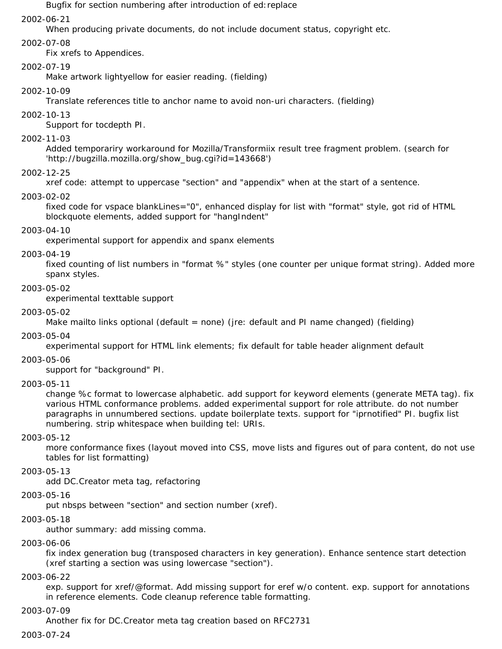Bugfix for section numbering after introduction of ed:replace

#### 2002-06-21

When producing private documents, do not include document status, copyright etc.

#### 2002-07-08

Fix xrefs to Appendices.

#### 2002-07-19

Make artwork lightyellow for easier reading. (fielding)

#### 2002-10-09

Translate references title to anchor name to avoid non-uri characters. (fielding)

#### 2002-10-13

Support for tocdepth PI.

#### 2002-11-03

Added temporariry workaround for Mozilla/Transformiix result tree fragment problem. (search for 'http://bugzilla.mozilla.org/show\_bug.cgi?id=143668')

#### 2002-12-25

xref code: attempt to uppercase "section" and "appendix" when at the start of a sentence.

#### 2003-02-02

fixed code for vspace blankLines="0", enhanced display for list with "format" style, got rid of HTML blockquote elements, added support for "hangIndent"

#### 2003-04-10

experimental support for appendix and spanx elements

#### 2003-04-19

fixed counting of list numbers in "format %" styles (one counter per unique format string). Added more spanx styles.

#### 2003-05-02

experimental texttable support

#### 2003-05-02

Make mailto links optional (default = none) (jre: default and PI name changed) (fielding)

#### 2003-05-04

experimental support for HTML link elements; fix default for table header alignment default

#### 2003-05-06

support for "background" PI.

#### 2003-05-11

change %c format to lowercase alphabetic. add support for keyword elements (generate META tag). fix various HTML conformance problems. added experimental support for role attribute. do not number paragraphs in unnumbered sections. update boilerplate texts. support for "iprnotified" PI. bugfix list numbering. strip whitespace when building tel: URIs.

#### 2003-05-12

more conformance fixes (layout moved into CSS, move lists and figures out of para content, do not use tables for list formatting)

#### 2003-05-13

add DC.Creator meta tag, refactoring

#### 2003-05-16

put nbsps between "section" and section number (xref).

#### 2003-05-18

author summary: add missing comma.

#### 2003-06-06

fix index generation bug (transposed characters in key generation). Enhance sentence start detection (xref starting a section was using lowercase "section").

#### 2003-06-22

exp. support for xref/@format. Add missing support for eref w/o content. exp. support for annotations in reference elements. Code cleanup reference table formatting.

#### 2003-07-09

Another fix for DC.Creator meta tag creation based on RFC2731

#### 2003-07-24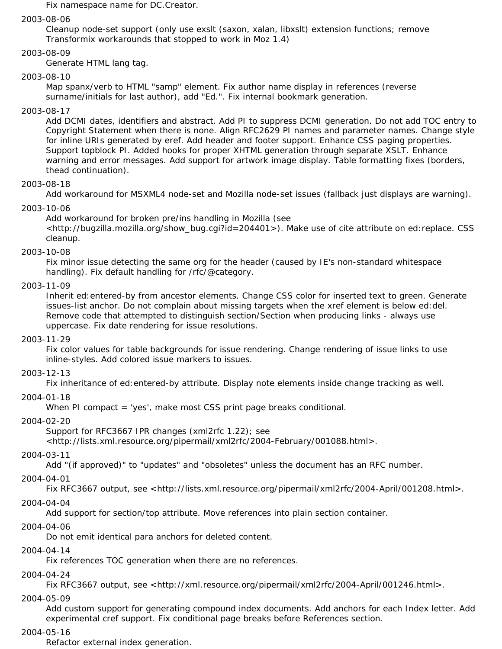Fix namespace name for DC.Creator.

#### 2003-08-06

Cleanup node-set support (only use exslt (saxon, xalan, libxslt) extension functions; remove Transformix workarounds that stopped to work in Moz 1.4)

## 2003-08-09

Generate HTML lang tag.

#### 2003-08-10

Map spanx/verb to HTML "samp" element. Fix author name display in references (reverse surname/initials for last author), add "Ed.". Fix internal bookmark generation.

#### 2003-08-17

Add DCMI dates, identifiers and abstract. Add PI to suppress DCMI generation. Do not add TOC entry to Copyright Statement when there is none. Align RFC2629 PI names and parameter names. Change style for inline URIs generated by eref. Add header and footer support. Enhance CSS paging properties. Support topblock PI. Added hooks for proper XHTML generation through separate XSLT. Enhance warning and error messages. Add support for artwork image display. Table formatting fixes (borders, thead continuation).

#### 2003-08-18

Add workaround for MSXML4 node-set and Mozilla node-set issues (fallback just displays are warning).

#### 2003-10-06

Add workaround for broken pre/ins handling in Mozilla (see <http://bugzilla.mozilla.org/show\_bug.cgi?id=204401>). Make use of cite attribute on ed:replace. CSS cleanup.

#### 2003-10-08

Fix minor issue detecting the same org for the header (caused by IE's non-standard whitespace handling). Fix default handling for /rfc/@category.

#### 2003-11-09

Inherit ed:entered-by from ancestor elements. Change CSS color for inserted text to green. Generate issues-list anchor. Do not complain about missing targets when the xref element is below ed:del. Remove code that attempted to distinguish section/Section when producing links - always use uppercase. Fix date rendering for issue resolutions.

#### 2003-11-29

Fix color values for table backgrounds for issue rendering. Change rendering of issue links to use inline-styles. Add colored issue markers to issues.

#### 2003-12-13

Fix inheritance of ed:entered-by attribute. Display note elements inside change tracking as well.

#### 2004-01-18

When PI compact = 'yes', make most CSS print page breaks conditional.

#### 2004-02-20

Support for RFC3667 IPR changes (xml2rfc 1.22); see

<http://lists.xml.resource.org/pipermail/xml2rfc/2004-February/001088.html>.

#### 2004-03-11

Add "(if approved)" to "updates" and "obsoletes" unless the document has an RFC number.

#### 2004-04-01

Fix RFC3667 output, see <http://lists.xml.resource.org/pipermail/xml2rfc/2004-April/001208.html>.

#### 2004-04-04

Add support for section/top attribute. Move references into plain section container.

#### 2004-04-06

Do not emit identical para anchors for deleted content.

#### 2004-04-14

Fix references TOC generation when there are no references.

#### 2004-04-24

Fix RFC3667 output, see <http://xml.resource.org/pipermail/xml2rfc/2004-April/001246.html>.

#### 2004-05-09

Add custom support for generating compound index documents. Add anchors for each Index letter. Add experimental cref support. Fix conditional page breaks before References section.

#### 2004-05-16

Refactor external index generation.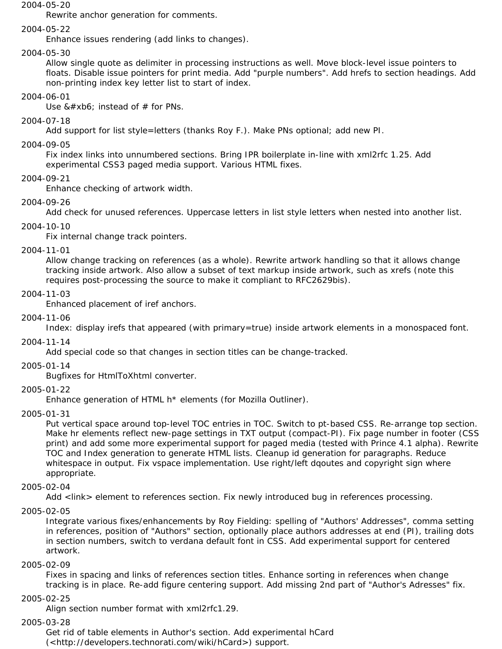#### 2004-05-20

Rewrite anchor generation for comments.

#### 2004-05-22

Enhance issues rendering (add links to changes).

#### 2004-05-30

Allow single quote as delimiter in processing instructions as well. Move block-level issue pointers to floats. Disable issue pointers for print media. Add "purple numbers". Add hrefs to section headings. Add non-printing index key letter list to start of index.

#### 2004-06-01

Use  $&\#xb6$ ; instead of  $#$  for PNs.

#### 2004-07-18

Add support for list style=letters (thanks Roy F.). Make PNs optional; add new PI.

#### 2004-09-05

Fix index links into unnumbered sections. Bring IPR boilerplate in-line with xml2rfc 1.25. Add experimental CSS3 paged media support. Various HTML fixes.

#### 2004-09-21

Enhance checking of artwork width.

#### 2004-09-26

Add check for unused references. Uppercase letters in list style letters when nested into another list.

#### 2004-10-10

Fix internal change track pointers.

#### 2004-11-01

Allow change tracking on references (as a whole). Rewrite artwork handling so that it allows change tracking inside artwork. Also allow a subset of text markup inside artwork, such as xrefs (note this requires post-processing the source to make it compliant to RFC2629bis).

#### 2004-11-03

Enhanced placement of iref anchors.

#### 2004-11-06

Index: display irefs that appeared (with primary=true) inside artwork elements in a monospaced font.

#### 2004-11-14

Add special code so that changes in section titles can be change-tracked.

#### 2005-01-14

Bugfixes for HtmlToXhtml converter.

#### 2005-01-22

Enhance generation of HTML h\* elements (for Mozilla Outliner).

#### 2005-01-31

Put vertical space around top-level TOC entries in TOC. Switch to pt-based CSS. Re-arrange top section. Make hr elements reflect new-page settings in TXT output (compact-PI). Fix page number in footer (CSS print) and add some more experimental support for paged media (tested with Prince 4.1 alpha). Rewrite TOC and Index generation to generate HTML lists. Cleanup id generation for paragraphs. Reduce whitespace in output. Fix vspace implementation. Use right/left dqoutes and copyright sign where appropriate.

#### 2005-02-04

Add <link> element to references section. Fix newly introduced bug in references processing.

2005-02-05

Integrate various fixes/enhancements by Roy Fielding: spelling of "Authors' Addresses", comma setting in references, position of "Authors" section, optionally place authors addresses at end (PI), trailing dots in section numbers, switch to verdana default font in CSS. Add experimental support for centered artwork.

#### 2005-02-09

Fixes in spacing and links of references section titles. Enhance sorting in references when change tracking is in place. Re-add figure centering support. Add missing 2nd part of "Author's Adresses" fix.

#### 2005-02-25

Align section number format with xml2rfc1.29.

#### 2005-03-28

Get rid of table elements in Author's section. Add experimental hCard (<http://developers.technorati.com/wiki/hCard>) support.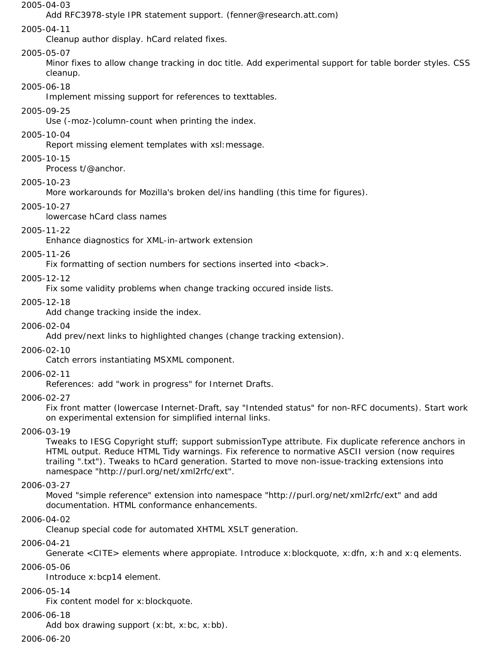#### 2005-04-03

Add RFC3978-style IPR statement support. (fenner@research.att.com)

#### 2005-04-11

Cleanup author display. hCard related fixes.

#### 2005-05-07

Minor fixes to allow change tracking in doc title. Add experimental support for table border styles. CSS cleanup.

#### 2005-06-18

Implement missing support for references to texttables.

#### 2005-09-25

Use (-moz-)column-count when printing the index.

#### 2005-10-04

Report missing element templates with xsl:message.

# 2005-10-15

Process t/@anchor.

#### 2005-10-23

More workarounds for Mozilla's broken del/ins handling (this time for figures).

#### 2005-10-27

lowercase hCard class names

#### 2005-11-22

Enhance diagnostics for XML-in-artwork extension

#### 2005-11-26

Fix formatting of section numbers for sections inserted into <br/>back>.

#### 2005-12-12

Fix some validity problems when change tracking occured inside lists.

#### 2005-12-18

Add change tracking inside the index.

#### 2006-02-04

Add prev/next links to highlighted changes (change tracking extension).

#### 2006-02-10

Catch errors instantiating MSXML component.

#### 2006-02-11

References: add "work in progress" for Internet Drafts.

#### 2006-02-27

Fix front matter (lowercase Internet-Draft, say "Intended status" for non-RFC documents). Start work on experimental extension for simplified internal links.

#### 2006-03-19

Tweaks to IESG Copyright stuff; support submissionType attribute. Fix duplicate reference anchors in HTML output. Reduce HTML Tidy warnings. Fix reference to normative ASCII version (now requires trailing ".txt"). Tweaks to hCard generation. Started to move non-issue-tracking extensions into namespace "http://purl.org/net/xml2rfc/ext".

#### 2006-03-27

Moved "simple reference" extension into namespace "http://purl.org/net/xml2rfc/ext" and add documentation. HTML conformance enhancements.

#### 2006-04-02

Cleanup special code for automated XHTML XSLT generation.

#### 2006-04-21

Generate <CITE> elements where appropiate. Introduce x:blockquote, x:dfn, x:h and x:q elements. 2006-05-06

Introduce x:bcp14 element.

#### 2006-05-14

Fix content model for x:blockquote.

#### 2006-06-18

Add box drawing support (x:bt, x:bc, x:bb).

#### 2006-06-20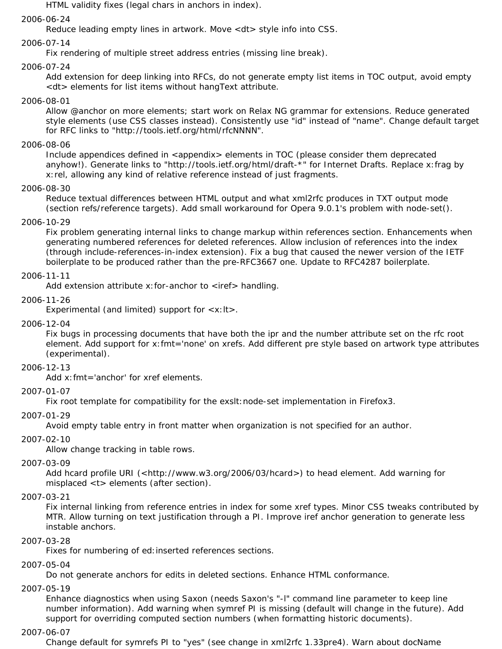HTML validity fixes (legal chars in anchors in index).

#### 2006-06-24

Reduce leading empty lines in artwork. Move <dt> style info into CSS.

#### 2006-07-14

Fix rendering of multiple street address entries (missing line break).

#### 2006-07-24

Add extension for deep linking into RFCs, do not generate empty list items in TOC output, avoid empty <dt> elements for list items without hangText attribute.

#### 2006-08-01

Allow @anchor on more elements; start work on Relax NG grammar for extensions. Reduce generated style elements (use CSS classes instead). Consistently use "id" instead of "name". Change default target for RFC links to "http://tools.ietf.org/html/rfcNNNN".

#### 2006-08-06

Include appendices defined in <appendix> elements in TOC (please consider them deprecated anyhow!). Generate links to "http://tools.ietf.org/html/draft-\*" for Internet Drafts. Replace x:frag by x:rel, allowing any kind of relative reference instead of just fragments.

#### 2006-08-30

Reduce textual differences between HTML output and what xml2rfc produces in TXT output mode (section refs/reference targets). Add small workaround for Opera 9.0.1's problem with node-set().

#### 2006-10-29

Fix problem generating internal links to change markup within references section. Enhancements when generating numbered references for deleted references. Allow inclusion of references into the index (through include-references-in-index extension). Fix a bug that caused the newer version of the IETF boilerplate to be produced rather than the pre-RFC3667 one. Update to RFC4287 boilerplate.

#### 2006-11-11

Add extension attribute  $x$ : for-anchor to  $\langle$ iref $\rangle$  handling.

#### 2006-11-26

Experimental (and limited) support for <x:lt>.

#### 2006-12-04

Fix bugs in processing documents that have both the ipr and the number attribute set on the rfc root element. Add support for x:fmt='none' on xrefs. Add different pre style based on artwork type attributes (experimental).

#### 2006-12-13

Add x:fmt='anchor' for xref elements.

#### 2007-01-07

Fix root template for compatibility for the exslt: node-set implementation in Firefox3.

#### 2007-01-29

Avoid empty table entry in front matter when organization is not specified for an author.

#### 2007-02-10

Allow change tracking in table rows.

#### 2007-03-09

Add hcard profile URI (<http://www.w3.org/2006/03/hcard>) to head element. Add warning for misplaced <t> elements (after section).

#### 2007-03-21

Fix internal linking from reference entries in index for some xref types. Minor CSS tweaks contributed by MTR. Allow turning on text justification through a PI. Improve iref anchor generation to generate less instable anchors.

#### 2007-03-28

Fixes for numbering of ed: inserted references sections.

# 2007-05-04

Do not generate anchors for edits in deleted sections. Enhance HTML conformance.

#### 2007-05-19

Enhance diagnostics when using Saxon (needs Saxon's "-l" command line parameter to keep line number information). Add warning when symref PI is missing (default will change in the future). Add support for overriding computed section numbers (when formatting historic documents).

#### 2007-06-07

Change default for symrefs PI to "yes" (see change in xml2rfc 1.33pre4). Warn about docName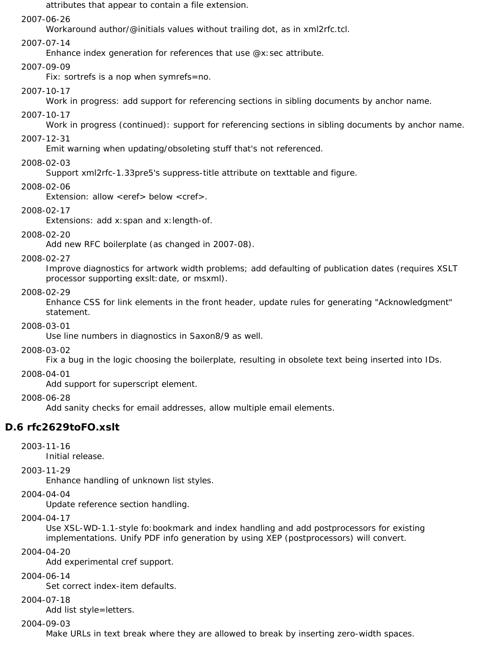attributes that appear to contain a file extension.

#### 2007-06-26

Workaround author/@initials values without trailing dot, as in xml2rfc.tcl.

#### 2007-07-14

Enhance index generation for references that use @x:sec attribute.

#### 2007-09-09

Fix: sortrefs is a nop when symrefs=no.

#### 2007-10-17

Work in progress: add support for referencing sections in sibling documents by anchor name.

#### 2007-10-17

Work in progress (continued): support for referencing sections in sibling documents by anchor name.

#### 2007-12-31

Emit warning when updating/obsoleting stuff that's not referenced.

#### 2008-02-03

Support xml2rfc-1.33pre5's suppress-title attribute on texttable and figure.

#### 2008-02-06

Extension: allow <eref> below <cref>.

#### 2008-02-17

Extensions: add x:span and x:length-of.

#### 2008-02-20

Add new RFC boilerplate (as changed in 2007-08).

#### 2008-02-27

Improve diagnostics for artwork width problems; add defaulting of publication dates (requires XSLT processor supporting exslt:date, or msxml).

#### 2008-02-29

Enhance CSS for link elements in the front header, update rules for generating "Acknowledgment" statement.

#### 2008-03-01

Use line numbers in diagnostics in Saxon8/9 as well.

#### 2008-03-02

Fix a bug in the logic choosing the boilerplate, resulting in obsolete text being inserted into IDs.

#### 2008-04-01

Add support for superscript element.

#### 2008-06-28

Add sanity checks for email addresses, allow multiple email elements.

# **D.6 rfc2629toFO.xslt**

2003-11-16

Initial release.

#### 2003-11-29

Enhance handling of unknown list styles.

#### 2004-04-04

Update reference section handling.

#### 2004-04-17

Use XSL-WD-1.1-style fo:bookmark and index handling and add postprocessors for existing implementations. Unify PDF info generation by using XEP (postprocessors) will convert.

#### 2004-04-20

Add experimental cref support.

#### 2004-06-14

Set correct index-item defaults.

#### 2004-07-18

Add list style=letters.

#### 2004-09-03

Make URLs in text break where they are allowed to break by inserting zero-width spaces.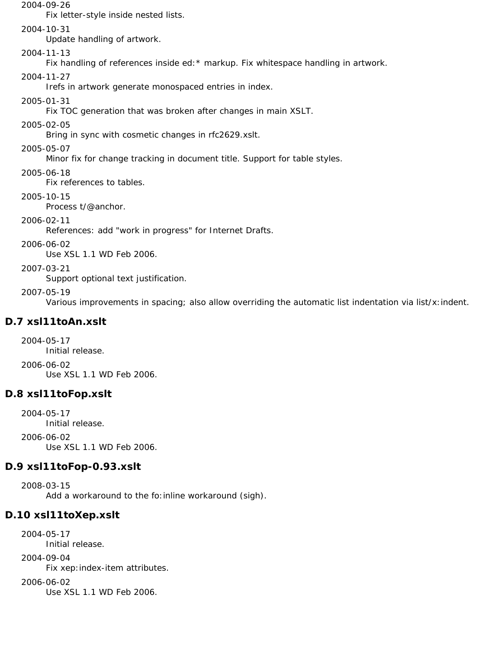#### 2004-09-26

Fix letter-style inside nested lists.

#### 2004-10-31

Update handling of artwork.

### 2004-11-13

Fix handling of references inside ed: \* markup. Fix whitespace handling in artwork.

# 2004-11-27

Irefs in artwork generate monospaced entries in index.

### 2005-01-31

Fix TOC generation that was broken after changes in main XSLT.

## 2005-02-05

Bring in sync with cosmetic changes in rfc2629.xslt.

### 2005-05-07

Minor fix for change tracking in document title. Support for table styles.

## 2005-06-18

Fix references to tables.

## 2005-10-15

Process t/@anchor.

# 2006-02-11

References: add "work in progress" for Internet Drafts.

## 2006-06-02

Use XSL 1.1 WD Feb 2006.

# 2007-03-21

Support optional text justification.

## 2007-05-19

Various improvements in spacing; also allow overriding the automatic list indentation via list/x:indent.

# **D.7 xsl11toAn.xslt**

2004-05-17 Initial release. 2006-06-02 Use XSL 1.1 WD Feb 2006.

# **D.8 xsl11toFop.xslt**

2004-05-17 Initial release.

2006-06-02 Use XSL 1.1 WD Feb 2006.

# **D.9 xsl11toFop-0.93.xslt**

2008-03-15 Add a workaround to the fo: inline workaround (sigh).

# **D.10 xsl11toXep.xslt**

2004-05-17 Initial release.

# 2004-09-04

Fix xep:index-item attributes.

## 2006-06-02

Use XSL 1.1 WD Feb 2006.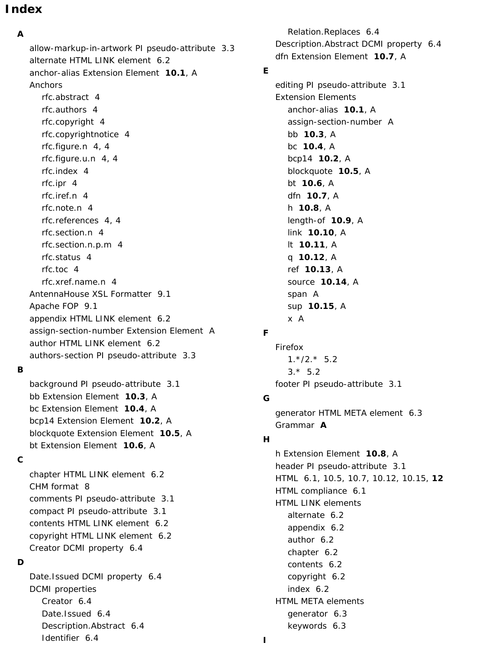# **Index**

# **A**

allow-markup-in-artwork PI pseudo-attribute 3.3 alternate HTML LINK element 6.2 anchor-alias Extension Element **10.1**, A Anchors rfc.abstract 4 rfc.authors 4 rfc.copyright 4 rfc.copyrightnotice 4 rfc.figure.n 4, 4 rfc.figure.u.n 4, 4 rfc.index 4 rfc.ipr 4 rfc.iref.n 4 rfc.note.n 4 rfc.references 4, 4 rfc.section.n 4 rfc.section.n.p.m 4 rfc.status 4 rfc.toc 4 rfc.xref.name.n 4 AntennaHouse XSL Formatter 9.1 Apache FOP 9.1 appendix HTML LINK element 6.2 assign-section-number Extension Element A author HTML LINK element 6.2 authors-section PI pseudo-attribute 3.3

## **B**

background PI pseudo-attribute 3.1 bb Extension Element **10.3**, A bc Extension Element **10.4**, A bcp14 Extension Element **10.2**, A blockquote Extension Element **10.5**, A bt Extension Element **10.6**, A

#### **C**

chapter HTML LINK element 6.2 CHM format 8 comments PI pseudo-attribute 3.1 compact PI pseudo-attribute 3.1 contents HTML LINK element 6.2 copyright HTML LINK element 6.2 Creator DCMI property 6.4

#### **D**

Date.Issued DCMI property 6.4 DCMI properties Creator 6.4 Date.Issued 6.4 Description.Abstract 6.4 Identifier 6.4

Relation.Replaces 6.4 Description.Abstract DCMI property 6.4 dfn Extension Element **10.7**, A editing PI pseudo-attribute 3.1 Extension Elements anchor-alias **10.1**, A assign-section-number A bb **10.3**, A bc **10.4**, A bcp14 **10.2**, A blockquote **10.5**, A bt **10.6**, A dfn **10.7**, A h **10.8**, A length-of **10.9**, A link **10.10**, A lt **10.11**, A q **10.12**, A ref **10.13**, A source **10.14**, A

# **F**

span A

x A

sup **10.15**, A

**E**

Firefox  $1.*/2.*$  5.2  $3.* 5.2$ footer PI pseudo-attribute 3.1

### **G**

generator HTML META element 6.3 Grammar **A**

#### **H**

h Extension Element **10.8**, A header PI pseudo-attribute 3.1 *HTML* 6.1, 10.5, 10.7, 10.12, 10.15, **12** HTML compliance 6.1 HTML LINK elements alternate 6.2 appendix 6.2 author 6.2 chapter 6.2 contents 6.2 copyright 6.2 index 6.2 HTML META elements generator 6.3 keywords 6.3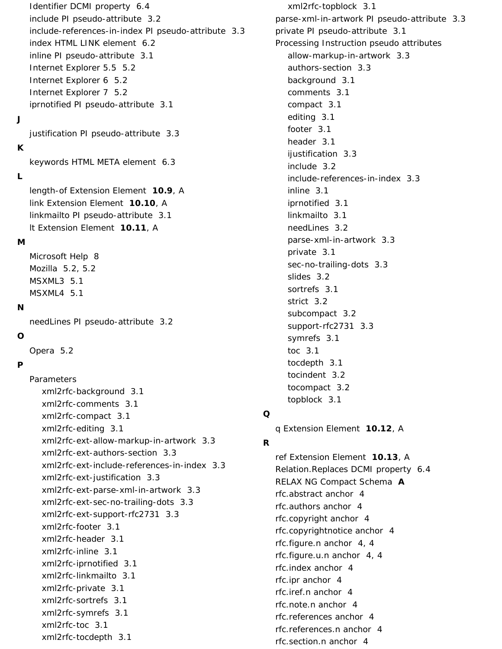Identifier DCMI property 6.4 include PI pseudo-attribute 3.2 include-references-in-index PI pseudo-attribute 3.3 index HTML LINK element 6.2 inline PI pseudo-attribute 3.1 Internet Explorer 5.5 5.2 Internet Explorer 6 5.2 Internet Explorer 7 5.2 iprnotified PI pseudo-attribute 3.1

# **J**

justification PI pseudo-attribute 3.3

## **K**

keywords HTML META element 6.3

## **L**

length-of Extension Element **10.9**, A link Extension Element **10.10**, A linkmailto PI pseudo-attribute 3.1 lt Extension Element **10.11**, A

## **M**

Microsoft Help 8 Mozilla 5.2, 5.2 MSXML3 5.1 MSXML4 5.1

### **N**

needLines PI pseudo-attribute 3.2

## **O**

Opera 5.2

# **P**

Parameters xml2rfc-background 3.1 xml2rfc-comments 3.1 xml2rfc-compact 3.1 xml2rfc-editing 3.1 xml2rfc-ext-allow-markup-in-artwork 3.3 xml2rfc-ext-authors-section 3.3 xml2rfc-ext-include-references-in-index 3.3 xml2rfc-ext-justification 3.3 xml2rfc-ext-parse-xml-in-artwork 3.3 xml2rfc-ext-sec-no-trailing-dots 3.3 xml2rfc-ext-support-rfc2731 3.3 xml2rfc-footer 3.1 xml2rfc-header 3.1 xml2rfc-inline 3.1 xml2rfc-iprnotified 3.1 xml2rfc-linkmailto 3.1 xml2rfc-private 3.1 xml2rfc-sortrefs 3.1 xml2rfc-symrefs 3.1 xml2rfc-toc 3.1 xml2rfc-tocdepth 3.1

xml2rfc-topblock 3.1 parse-xml-in-artwork PI pseudo-attribute 3.3 private PI pseudo-attribute 3.1 Processing Instruction pseudo attributes allow-markup-in-artwork 3.3 authors-section 3.3 background 3.1 comments 3.1 compact 3.1 editing 3.1 footer 3.1 header 3.1 ijustification 3.3 include 3.2 include-references-in-index 3.3 inline 3.1 iprnotified 3.1 linkmailto 3.1 needLines 3.2 parse-xml-in-artwork 3.3 private 3.1 sec-no-trailing-dots 3.3 slides 3.2 sortrefs 3.1 strict 3.2 subcompact 3.2 support-rfc2731 3.3 symrefs 3.1 toc 3.1 tocdepth 3.1 tocindent 3.2 tocompact 3.2

## **Q**

q Extension Element **10.12**, A

topblock 3.1

# **R**

ref Extension Element **10.13**, A Relation.Replaces DCMI property 6.4 RELAX NG Compact Schema **A** rfc.abstract anchor 4 rfc.authors anchor 4 rfc.copyright anchor 4 rfc.copyrightnotice anchor 4 rfc.figure.n anchor 4, 4 rfc.figure.u.n anchor 4, 4 rfc.index anchor 4 rfc.ipr anchor 4 rfc.iref.n anchor 4 rfc.note.n anchor 4 rfc.references anchor 4 rfc.references.n anchor 4 rfc.section.n anchor 4